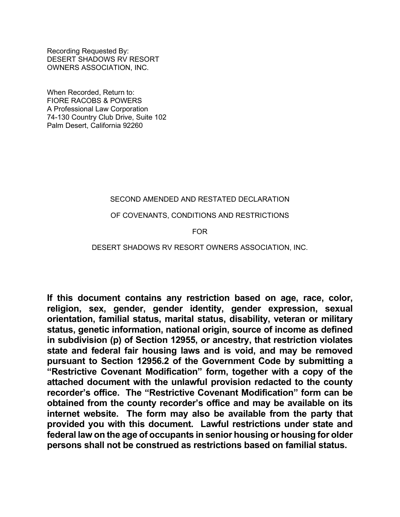Recording Requested By: DESERT SHADOWS RV RESORT OWNERS ASSOCIATION, INC.

When Recorded, Return to: FIORE RACOBS & POWERS A Professional Law Corporation 74-130 Country Club Drive, Suite 102 Palm Desert, California 92260

# SECOND AMENDED AND RESTATED DECLARATION

## OF COVENANTS, CONDITIONS AND RESTRICTIONS

## FOR

## DESERT SHADOWS RV RESORT OWNERS ASSOCIATION, INC.

**If this document contains any restriction based on age, race, color, religion, sex, gender, gender identity, gender expression, sexual orientation, familial status, marital status, disability, veteran or military status, genetic information, national origin, source of income as defined in subdivision (p) of Section 12955, or ancestry, that restriction violates state and federal fair housing laws and is void, and may be removed pursuant to Section 12956.2 of the Government Code by submitting a "Restrictive Covenant Modification" form, together with a copy of the attached document with the unlawful provision redacted to the county recorder's office. The "Restrictive Covenant Modification" form can be obtained from the county recorder's office and may be available on its internet website. The form may also be available from the party that provided you with this document. Lawful restrictions under state and federal law on the age of occupants in senior housing or housing for older persons shall not be construed as restrictions based on familial status.**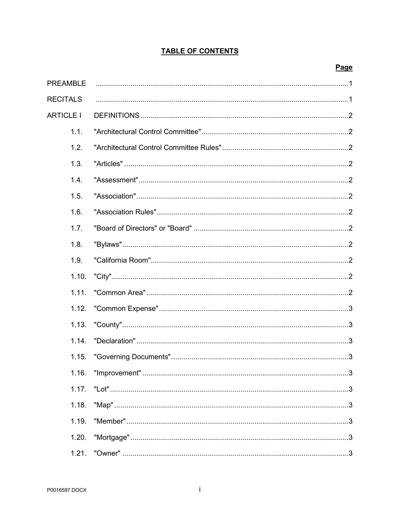# **TABLE OF CONTENTS**

## Page

| <b>PREAMBLE</b>  |                    |
|------------------|--------------------|
| <b>RECITALS</b>  |                    |
| <b>ARTICLE I</b> |                    |
| 1.1.             |                    |
| 1.2.             |                    |
| 1.3.             |                    |
| 1.4.             |                    |
| 1.5.             |                    |
| 1.6.             |                    |
| 1.7.             |                    |
| 1.8.             |                    |
| 1.9.             |                    |
| 1.10.            |                    |
| 1.11.            |                    |
| 1.12.            |                    |
| 1.13.            | $"County" \dots 3$ |
| 1.14.            |                    |
| 1.15.            |                    |
|                  |                    |
| 1.17.            |                    |
| 1.18.            |                    |
| 1.19.            |                    |
| 1.20.            |                    |
| 1.21.            |                    |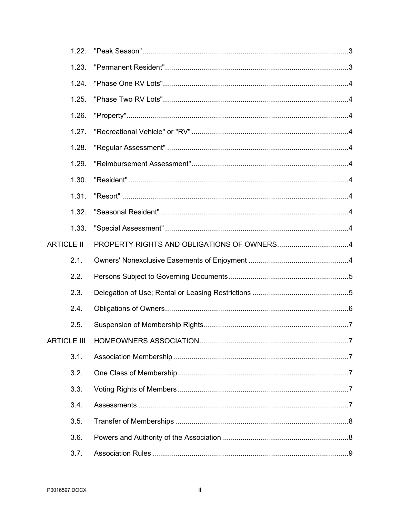|                    | 1.22. |                                            |  |
|--------------------|-------|--------------------------------------------|--|
|                    | 1.23. |                                            |  |
|                    | 1.24. |                                            |  |
|                    | 1.25. |                                            |  |
|                    | 1.26. |                                            |  |
|                    | 1.27. |                                            |  |
|                    | 1.28. |                                            |  |
|                    | 1.29. |                                            |  |
|                    | 1.30. |                                            |  |
|                    | 1.31. |                                            |  |
|                    | 1.32. |                                            |  |
|                    | 1.33. |                                            |  |
| <b>ARTICLE II</b>  |       | PROPERTY RIGHTS AND OBLIGATIONS OF OWNERS4 |  |
|                    |       |                                            |  |
|                    | 2.1.  |                                            |  |
|                    | 2.2.  |                                            |  |
|                    | 2.3.  |                                            |  |
|                    | 2.4.  |                                            |  |
|                    | 2.5.  |                                            |  |
| <b>ARTICLE III</b> |       |                                            |  |
|                    | 3.1.  |                                            |  |
|                    | 3.2.  |                                            |  |
|                    | 3.3.  |                                            |  |
|                    | 3.4.  |                                            |  |
|                    | 3.5.  |                                            |  |
|                    | 3.6.  |                                            |  |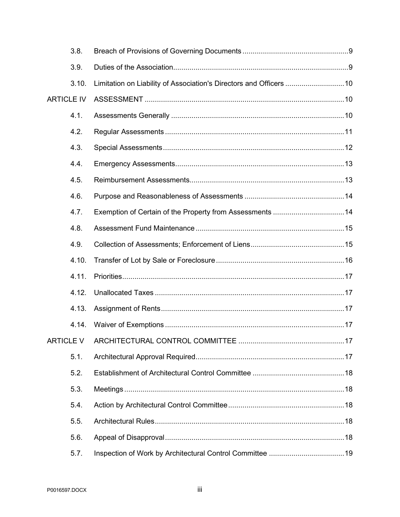| 3.8.              |                                                          |  |
|-------------------|----------------------------------------------------------|--|
| 3.9.              |                                                          |  |
| 3.10.             |                                                          |  |
| <b>ARTICLE IV</b> |                                                          |  |
| 4.1.              |                                                          |  |
| 4.2.              |                                                          |  |
| 4.3.              |                                                          |  |
| 4.4.              |                                                          |  |
| 4.5.              |                                                          |  |
| 4.6.              |                                                          |  |
| 4.7.              | Exemption of Certain of the Property from Assessments 14 |  |
| 4.8.              |                                                          |  |
| 4.9.              |                                                          |  |
|                   |                                                          |  |
| 4.10.             |                                                          |  |
| 4.11.             |                                                          |  |
| 4.12.             |                                                          |  |
| 4.13.             |                                                          |  |
| 4.14.             |                                                          |  |
| <b>ARTICLE V</b>  |                                                          |  |
| 5.1.              |                                                          |  |
| 5.2.              |                                                          |  |
| 5.3.              |                                                          |  |
| 5.4.              |                                                          |  |
| 5.5.              |                                                          |  |
| 5.6.              |                                                          |  |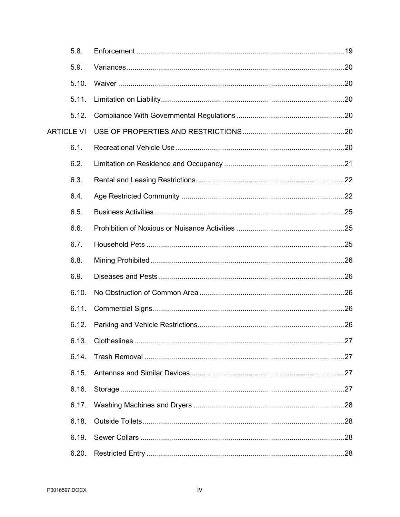| 5.8.              |  |
|-------------------|--|
| 5.9.              |  |
| 5.10.             |  |
| 5.11.             |  |
| 5.12.             |  |
| <b>ARTICLE VI</b> |  |
| 6.1.              |  |
| 6.2.              |  |
| 6.3.              |  |
| 6.4.              |  |
| 6.5.              |  |
| 6.6.              |  |
| 6.7.              |  |
| 6.8.              |  |
| 6.9.              |  |
| 6.10.             |  |
| 6.11.             |  |
| 6.12.             |  |
| 6.13.             |  |
| 6.14.             |  |
| 6.15.             |  |
| 6.16.             |  |
| 6.17.             |  |
| 6.18.             |  |
| 6.19.             |  |
| 6.20.             |  |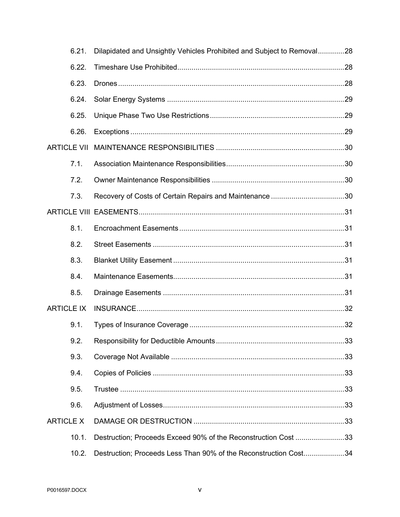|                   | 6.21.              | Dilapidated and Unsightly Vehicles Prohibited and Subject to Removal28 |  |
|-------------------|--------------------|------------------------------------------------------------------------|--|
|                   | 6.22.              |                                                                        |  |
|                   | 6.23.              |                                                                        |  |
|                   | 6.24.              |                                                                        |  |
|                   | 6.25.              |                                                                        |  |
|                   | 6.26.              |                                                                        |  |
|                   | <b>ARTICLE VII</b> |                                                                        |  |
|                   | 7.1.               |                                                                        |  |
|                   | 7.2.               |                                                                        |  |
|                   | 7.3.               |                                                                        |  |
|                   |                    |                                                                        |  |
|                   | 8.1.               |                                                                        |  |
|                   | 8.2.               |                                                                        |  |
|                   | 8.3.               |                                                                        |  |
|                   | 8.4.               |                                                                        |  |
|                   | 8.5.               |                                                                        |  |
| <b>ARTICLE IX</b> |                    |                                                                        |  |
|                   | 9.1.               |                                                                        |  |
|                   |                    |                                                                        |  |
|                   | 9.3.               |                                                                        |  |
|                   | 9.4.               |                                                                        |  |
|                   | 9.5.               |                                                                        |  |
|                   | 9.6.               |                                                                        |  |
| <b>ARTICLE X</b>  |                    |                                                                        |  |
|                   | 10.1.              | Destruction; Proceeds Exceed 90% of the Reconstruction Cost 33         |  |
|                   | 10.2.              | Destruction; Proceeds Less Than 90% of the Reconstruction Cost34       |  |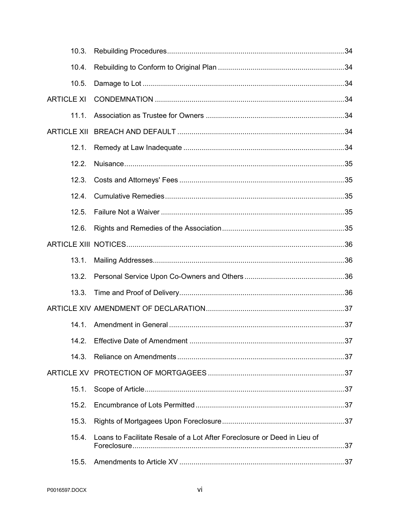|                   | 10.3.              |                                                                          |  |
|-------------------|--------------------|--------------------------------------------------------------------------|--|
|                   | 10.4.              |                                                                          |  |
|                   | 10.5.              |                                                                          |  |
| <b>ARTICLE XI</b> |                    |                                                                          |  |
|                   | 11.1.              |                                                                          |  |
|                   | <b>ARTICLE XII</b> |                                                                          |  |
|                   | 12.1.              |                                                                          |  |
|                   | 12.2.              |                                                                          |  |
|                   | 12.3.              |                                                                          |  |
|                   | 12.4.              |                                                                          |  |
|                   | 12.5.              |                                                                          |  |
|                   | 12.6.              |                                                                          |  |
|                   |                    |                                                                          |  |
|                   | 13.1.              |                                                                          |  |
|                   | 13.2.              |                                                                          |  |
|                   | 13.3.              |                                                                          |  |
|                   |                    |                                                                          |  |
|                   | 141                |                                                                          |  |
|                   |                    |                                                                          |  |
|                   | 14.3.              |                                                                          |  |
|                   |                    |                                                                          |  |
|                   | 15.1.              |                                                                          |  |
|                   | 15.2.              |                                                                          |  |
|                   | 15.3.              |                                                                          |  |
|                   | 15.4.              | Loans to Facilitate Resale of a Lot After Foreclosure or Deed in Lieu of |  |
|                   | 15.5.              |                                                                          |  |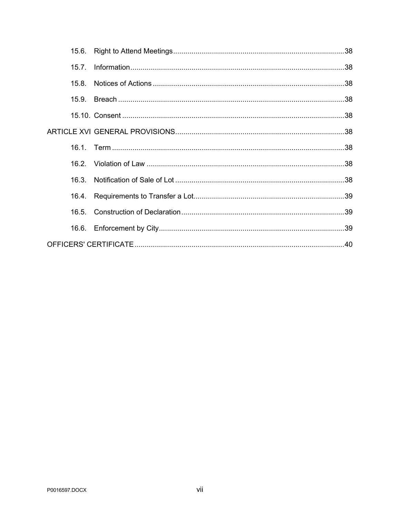| 15.6. |  |
|-------|--|
| 157   |  |
| 15.8. |  |
|       |  |
|       |  |
|       |  |
|       |  |
|       |  |
|       |  |
| 16.4. |  |
|       |  |
|       |  |
|       |  |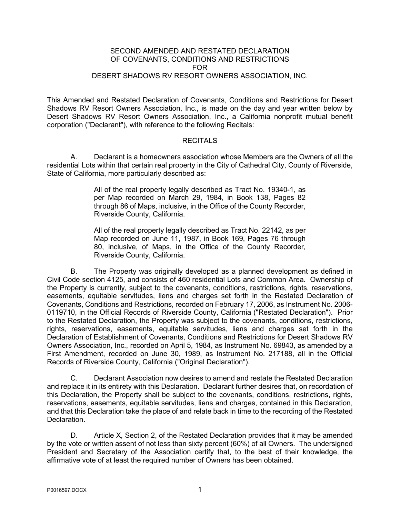#### SECOND AMENDED AND RESTATED DECLARATION OF COVENANTS, CONDITIONS AND RESTRICTIONS FOR DESERT SHADOWS RV RESORT OWNERS ASSOCIATION, INC.

This Amended and Restated Declaration of Covenants, Conditions and Restrictions for Desert Shadows RV Resort Owners Association, Inc., is made on the day and year written below by Desert Shadows RV Resort Owners Association, Inc., a California nonprofit mutual benefit corporation ("Declarant"), with reference to the following Recitals:

#### **RECITALS**

A. Declarant is a homeowners association whose Members are the Owners of all the residential Lots within that certain real property in the City of Cathedral City, County of Riverside, State of California, more particularly described as:

> All of the real property legally described as Tract No. 19340-1, as per Map recorded on March 29, 1984, in Book 138, Pages 82 through 86 of Maps, inclusive, in the Office of the County Recorder, Riverside County, California.

> All of the real property legally described as Tract No. 22142, as per Map recorded on June 11, 1987, in Book 169, Pages 76 through 80, inclusive, of Maps, in the Office of the County Recorder, Riverside County, California.

B. The Property was originally developed as a planned development as defined in Civil Code section 4125, and consists of 460 residential Lots and Common Area. Ownership of the Property is currently, subject to the covenants, conditions, restrictions, rights, reservations, easements, equitable servitudes, liens and charges set forth in the Restated Declaration of Covenants, Conditions and Restrictions, recorded on February 17, 2006, as Instrument No. 2006- 0119710, in the Official Records of Riverside County, California ("Restated Declaration"). Prior to the Restated Declaration, the Property was subject to the covenants, conditions, restrictions, rights, reservations, easements, equitable servitudes, liens and charges set forth in the Declaration of Establishment of Covenants, Conditions and Restrictions for Desert Shadows RV Owners Association, Inc., recorded on April 5, 1984, as Instrument No. 69843, as amended by a First Amendment, recorded on June 30, 1989, as Instrument No. 217188, all in the Official Records of Riverside County, California ("Original Declaration").

C. Declarant Association now desires to amend and restate the Restated Declaration and replace it in its entirety with this Declaration. Declarant further desires that, on recordation of this Declaration, the Property shall be subject to the covenants, conditions, restrictions, rights, reservations, easements, equitable servitudes, liens and charges, contained in this Declaration, and that this Declaration take the place of and relate back in time to the recording of the Restated Declaration.

D. Article X, Section 2, of the Restated Declaration provides that it may be amended by the vote or written assent of not less than sixty percent (60%) of all Owners. The undersigned President and Secretary of the Association certify that, to the best of their knowledge, the affirmative vote of at least the required number of Owners has been obtained.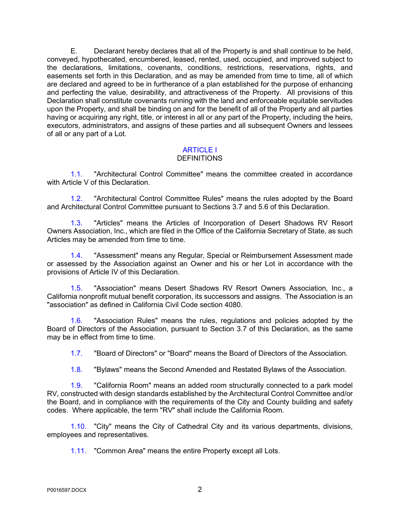E. Declarant hereby declares that all of the Property is and shall continue to be held, conveyed, hypothecated, encumbered, leased, rented, used, occupied, and improved subject to the declarations, limitations, covenants, conditions, restrictions, reservations, rights, and easements set forth in this Declaration, and as may be amended from time to time, all of which are declared and agreed to be in furtherance of a plan established for the purpose of enhancing and perfecting the value, desirability, and attractiveness of the Property. All provisions of this Declaration shall constitute covenants running with the land and enforceable equitable servitudes upon the Property, and shall be binding on and for the benefit of all of the Property and all parties having or acquiring any right, title, or interest in all or any part of the Property, including the heirs, executors, administrators, and assigns of these parties and all subsequent Owners and lessees of all or any part of a Lot.

## ARTICLE I

## **DEFINITIONS**

1.1. "Architectural Control Committee" means the committee created in accordance with Article V of this Declaration.

1.2. "Architectural Control Committee Rules" means the rules adopted by the Board and Architectural Control Committee pursuant to Sections 3.7 and 5.6 of this Declaration.

1.3. "Articles" means the Articles of Incorporation of Desert Shadows RV Resort Owners Association, Inc., which are filed in the Office of the California Secretary of State, as such Articles may be amended from time to time.

1.4. "Assessment" means any Regular, Special or Reimbursement Assessment made or assessed by the Association against an Owner and his or her Lot in accordance with the provisions of Article IV of this Declaration.

1.5. "Association" means Desert Shadows RV Resort Owners Association, Inc., a California nonprofit mutual benefit corporation, its successors and assigns. The Association is an "association" as defined in California Civil Code section 4080.

1.6. "Association Rules" means the rules, regulations and policies adopted by the Board of Directors of the Association, pursuant to Section 3.7 of this Declaration, as the same may be in effect from time to time.

1.7. "Board of Directors" or "Board" means the Board of Directors of the Association.

1.8. "Bylaws" means the Second Amended and Restated Bylaws of the Association.

1.9. "California Room" means an added room structurally connected to a park model RV, constructed with design standards established by the Architectural Control Committee and/or the Board, and in compliance with the requirements of the City and County building and safety codes. Where applicable, the term "RV" shall include the California Room.

1.10. "City" means the City of Cathedral City and its various departments, divisions, employees and representatives.

1.11. "Common Area" means the entire Property except all Lots.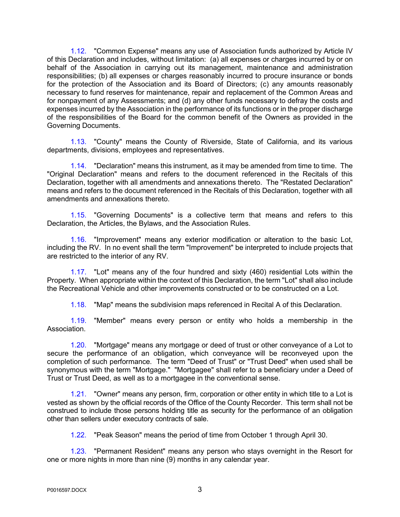1.12. "Common Expense" means any use of Association funds authorized by Article IV of this Declaration and includes, without limitation: (a) all expenses or charges incurred by or on behalf of the Association in carrying out its management, maintenance and administration responsibilities; (b) all expenses or charges reasonably incurred to procure insurance or bonds for the protection of the Association and its Board of Directors; (c) any amounts reasonably necessary to fund reserves for maintenance, repair and replacement of the Common Areas and for nonpayment of any Assessments; and (d) any other funds necessary to defray the costs and expenses incurred by the Association in the performance of its functions or in the proper discharge of the responsibilities of the Board for the common benefit of the Owners as provided in the Governing Documents.

1.13. "County" means the County of Riverside, State of California, and its various departments, divisions, employees and representatives.

1.14. "Declaration" means this instrument, as it may be amended from time to time. The "Original Declaration" means and refers to the document referenced in the Recitals of this Declaration, together with all amendments and annexations thereto. The "Restated Declaration" means and refers to the document referenced in the Recitals of this Declaration, together with all amendments and annexations thereto.

1.15. "Governing Documents" is a collective term that means and refers to this Declaration, the Articles, the Bylaws, and the Association Rules.

1.16. "Improvement" means any exterior modification or alteration to the basic Lot, including the RV. In no event shall the term "Improvement" be interpreted to include projects that are restricted to the interior of any RV.

1.17. "Lot" means any of the four hundred and sixty (460) residential Lots within the Property. When appropriate within the context of this Declaration, the term "Lot" shall also include the Recreational Vehicle and other improvements constructed or to be constructed on a Lot.

1.18. "Map" means the subdivision maps referenced in Recital A of this Declaration.

1.19. "Member" means every person or entity who holds a membership in the Association.

1.20. "Mortgage" means any mortgage or deed of trust or other conveyance of a Lot to secure the performance of an obligation, which conveyance will be reconveyed upon the completion of such performance. The term "Deed of Trust" or "Trust Deed" when used shall be synonymous with the term "Mortgage." "Mortgagee" shall refer to a beneficiary under a Deed of Trust or Trust Deed, as well as to a mortgagee in the conventional sense.

1.21. "Owner" means any person, firm, corporation or other entity in which title to a Lot is vested as shown by the official records of the Office of the County Recorder. This term shall not be construed to include those persons holding title as security for the performance of an obligation other than sellers under executory contracts of sale.

1.22. "Peak Season" means the period of time from October 1 through April 30.

1.23. "Permanent Resident" means any person who stays overnight in the Resort for one or more nights in more than nine (9) months in any calendar year.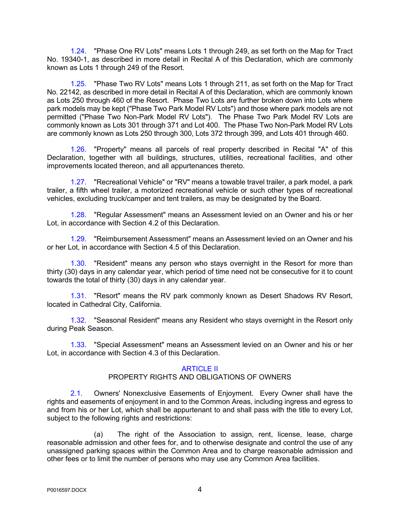1.24. "Phase One RV Lots" means Lots 1 through 249, as set forth on the Map for Tract No. 19340-1, as described in more detail in Recital A of this Declaration, which are commonly known as Lots 1 through 249 of the Resort.

1.25. "Phase Two RV Lots" means Lots 1 through 211, as set forth on the Map for Tract No. 22142, as described in more detail in Recital A of this Declaration, which are commonly known as Lots 250 through 460 of the Resort. Phase Two Lots are further broken down into Lots where park models may be kept ("Phase Two Park Model RV Lots") and those where park models are not permitted ("Phase Two Non-Park Model RV Lots"). The Phase Two Park Model RV Lots are commonly known as Lots 301 through 371 and Lot 400. The Phase Two Non-Park Model RV Lots are commonly known as Lots 250 through 300, Lots 372 through 399, and Lots 401 through 460.

1.26. "Property" means all parcels of real property described in Recital "A" of this Declaration, together with all buildings, structures, utilities, recreational facilities, and other improvements located thereon, and all appurtenances thereto.

1.27. "Recreational Vehicle" or "RV" means a towable travel trailer, a park model, a park trailer, a fifth wheel trailer, a motorized recreational vehicle or such other types of recreational vehicles, excluding truck/camper and tent trailers, as may be designated by the Board.

1.28. "Regular Assessment" means an Assessment levied on an Owner and his or her Lot, in accordance with Section 4.2 of this Declaration.

1.29. "Reimbursement Assessment" means an Assessment levied on an Owner and his or her Lot, in accordance with Section 4.5 of this Declaration.

1.30. "Resident" means any person who stays overnight in the Resort for more than thirty (30) days in any calendar year, which period of time need not be consecutive for it to count towards the total of thirty (30) days in any calendar year.

1.31. "Resort" means the RV park commonly known as Desert Shadows RV Resort, located in Cathedral City, California.

1.32. "Seasonal Resident" means any Resident who stays overnight in the Resort only during Peak Season.

1.33. "Special Assessment" means an Assessment levied on an Owner and his or her Lot, in accordance with Section 4.3 of this Declaration.

## ARTICLE II

## PROPERTY RIGHTS AND OBLIGATIONS OF OWNERS

2.1. Owners' Nonexclusive Easements of Enjoyment. Every Owner shall have the rights and easements of enjoyment in and to the Common Areas, including ingress and egress to and from his or her Lot, which shall be appurtenant to and shall pass with the title to every Lot, subject to the following rights and restrictions:

(a) The right of the Association to assign, rent, license, lease, charge reasonable admission and other fees for, and to otherwise designate and control the use of any unassigned parking spaces within the Common Area and to charge reasonable admission and other fees or to limit the number of persons who may use any Common Area facilities.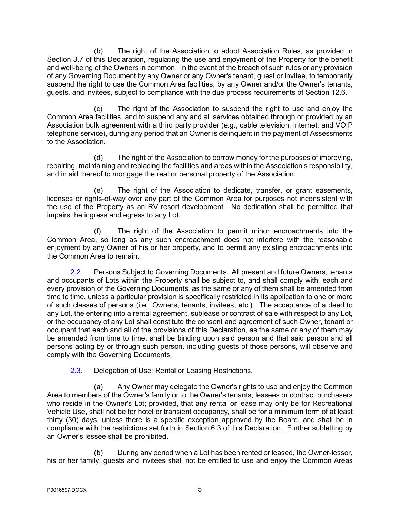(b) The right of the Association to adopt Association Rules, as provided in Section 3.7 of this Declaration, regulating the use and enjoyment of the Property for the benefit and well-being of the Owners in common. In the event of the breach of such rules or any provision of any Governing Document by any Owner or any Owner's tenant, guest or invitee, to temporarily suspend the right to use the Common Area facilities, by any Owner and/or the Owner's tenants, guests, and invitees, subject to compliance with the due process requirements of Section 12.6.

(c) The right of the Association to suspend the right to use and enjoy the Common Area facilities, and to suspend any and all services obtained through or provided by an Association bulk agreement with a third party provider (e.g., cable television, internet, and VOIP telephone service), during any period that an Owner is delinquent in the payment of Assessments to the Association.

(d) The right of the Association to borrow money for the purposes of improving, repairing, maintaining and replacing the facilities and areas within the Association's responsibility, and in aid thereof to mortgage the real or personal property of the Association.

(e) The right of the Association to dedicate, transfer, or grant easements, licenses or rights-of-way over any part of the Common Area for purposes not inconsistent with the use of the Property as an RV resort development. No dedication shall be permitted that impairs the ingress and egress to any Lot.

(f) The right of the Association to permit minor encroachments into the Common Area, so long as any such encroachment does not interfere with the reasonable enjoyment by any Owner of his or her property, and to permit any existing encroachments into the Common Area to remain.

2.2. Persons Subject to Governing Documents. All present and future Owners, tenants and occupants of Lots within the Property shall be subject to, and shall comply with, each and every provision of the Governing Documents, as the same or any of them shall be amended from time to time, unless a particular provision is specifically restricted in its application to one or more of such classes of persons (i.e., Owners, tenants, invitees, etc.). The acceptance of a deed to any Lot, the entering into a rental agreement, sublease or contract of sale with respect to any Lot, or the occupancy of any Lot shall constitute the consent and agreement of such Owner, tenant or occupant that each and all of the provisions of this Declaration, as the same or any of them may be amended from time to time, shall be binding upon said person and that said person and all persons acting by or through such person, including guests of those persons, will observe and comply with the Governing Documents.

2.3. Delegation of Use; Rental or Leasing Restrictions.

(a) Any Owner may delegate the Owner's rights to use and enjoy the Common Area to members of the Owner's family or to the Owner's tenants, lessees or contract purchasers who reside in the Owner's Lot; provided, that any rental or lease may only be for Recreational Vehicle Use, shall not be for hotel or transient occupancy, shall be for a minimum term of at least thirty (30) days, unless there is a specific exception approved by the Board, and shall be in compliance with the restrictions set forth in Section 6.3 of this Declaration. Further subletting by an Owner's lessee shall be prohibited.

During any period when a Lot has been rented or leased, the Owner-lessor, his or her family, guests and invitees shall not be entitled to use and enjoy the Common Areas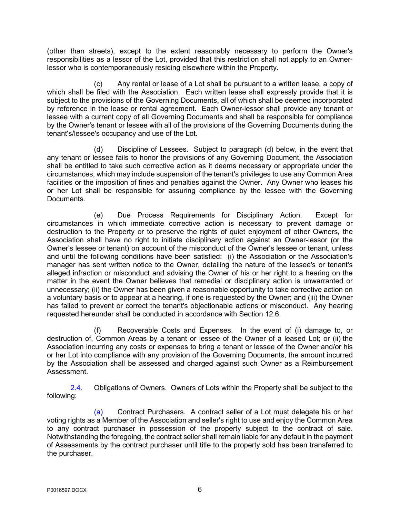(other than streets), except to the extent reasonably necessary to perform the Owner's responsibilities as a lessor of the Lot, provided that this restriction shall not apply to an Ownerlessor who is contemporaneously residing elsewhere within the Property.

(c) Any rental or lease of a Lot shall be pursuant to a written lease, a copy of which shall be filed with the Association. Each written lease shall expressly provide that it is subject to the provisions of the Governing Documents, all of which shall be deemed incorporated by reference in the lease or rental agreement. Each Owner-lessor shall provide any tenant or lessee with a current copy of all Governing Documents and shall be responsible for compliance by the Owner's tenant or lessee with all of the provisions of the Governing Documents during the tenant's/lessee's occupancy and use of the Lot.

(d) Discipline of Lessees. Subject to paragraph (d) below, in the event that any tenant or lessee fails to honor the provisions of any Governing Document, the Association shall be entitled to take such corrective action as it deems necessary or appropriate under the circumstances, which may include suspension of the tenant's privileges to use any Common Area facilities or the imposition of fines and penalties against the Owner. Any Owner who leases his or her Lot shall be responsible for assuring compliance by the lessee with the Governing Documents.

(e) Due Process Requirements for Disciplinary Action. Except for circumstances in which immediate corrective action is necessary to prevent damage or destruction to the Property or to preserve the rights of quiet enjoyment of other Owners, the Association shall have no right to initiate disciplinary action against an Owner-lessor (or the Owner's lessee or tenant) on account of the misconduct of the Owner's lessee or tenant, unless and until the following conditions have been satisfied: (i) the Association or the Association's manager has sent written notice to the Owner, detailing the nature of the lessee's or tenant's alleged infraction or misconduct and advising the Owner of his or her right to a hearing on the matter in the event the Owner believes that remedial or disciplinary action is unwarranted or unnecessary; (ii) the Owner has been given a reasonable opportunity to take corrective action on a voluntary basis or to appear at a hearing, if one is requested by the Owner; and (iii) the Owner has failed to prevent or correct the tenant's objectionable actions or misconduct. Any hearing requested hereunder shall be conducted in accordance with Section 12.6.

(f) Recoverable Costs and Expenses. In the event of (i) damage to, or destruction of, Common Areas by a tenant or lessee of the Owner of a leased Lot; or (ii) the Association incurring any costs or expenses to bring a tenant or lessee of the Owner and/or his or her Lot into compliance with any provision of the Governing Documents, the amount incurred by the Association shall be assessed and charged against such Owner as a Reimbursement Assessment.

2.4. Obligations of Owners. Owners of Lots within the Property shall be subject to the following:

(a) Contract Purchasers. A contract seller of a Lot must delegate his or her voting rights as a Member of the Association and seller's right to use and enjoy the Common Area to any contract purchaser in possession of the property subject to the contract of sale. Notwithstanding the foregoing, the contract seller shall remain liable for any default in the payment of Assessments by the contract purchaser until title to the property sold has been transferred to the purchaser.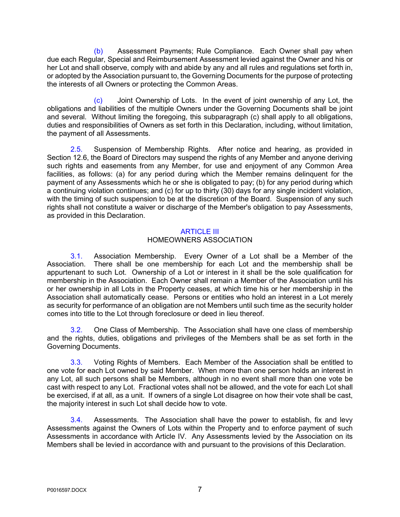(b) Assessment Payments; Rule Compliance. Each Owner shall pay when due each Regular, Special and Reimbursement Assessment levied against the Owner and his or her Lot and shall observe, comply with and abide by any and all rules and regulations set forth in, or adopted by the Association pursuant to, the Governing Documents for the purpose of protecting the interests of all Owners or protecting the Common Areas.

(c) Joint Ownership of Lots. In the event of joint ownership of any Lot, the obligations and liabilities of the multiple Owners under the Governing Documents shall be joint and several. Without limiting the foregoing, this subparagraph (c) shall apply to all obligations, duties and responsibilities of Owners as set forth in this Declaration, including, without limitation, the payment of all Assessments.

2.5. Suspension of Membership Rights. After notice and hearing, as provided in Section 12.6, the Board of Directors may suspend the rights of any Member and anyone deriving such rights and easements from any Member, for use and enjoyment of any Common Area facilities, as follows: (a) for any period during which the Member remains delinquent for the payment of any Assessments which he or she is obligated to pay; (b) for any period during which a continuing violation continues; and (c) for up to thirty (30) days for any single incident violation, with the timing of such suspension to be at the discretion of the Board. Suspension of any such rights shall not constitute a waiver or discharge of the Member's obligation to pay Assessments, as provided in this Declaration.

## **ARTICLE III** HOMEOWNERS ASSOCIATION

3.1. Association Membership. Every Owner of a Lot shall be a Member of the Association. There shall be one membership for each Lot and the membership shall be appurtenant to such Lot. Ownership of a Lot or interest in it shall be the sole qualification for membership in the Association. Each Owner shall remain a Member of the Association until his or her ownership in all Lots in the Property ceases, at which time his or her membership in the Association shall automatically cease. Persons or entities who hold an interest in a Lot merely as security for performance of an obligation are not Members until such time as the security holder comes into title to the Lot through foreclosure or deed in lieu thereof.

3.2. One Class of Membership. The Association shall have one class of membership and the rights, duties, obligations and privileges of the Members shall be as set forth in the Governing Documents.

3.3. Voting Rights of Members. Each Member of the Association shall be entitled to one vote for each Lot owned by said Member. When more than one person holds an interest in any Lot, all such persons shall be Members, although in no event shall more than one vote be cast with respect to any Lot. Fractional votes shall not be allowed, and the vote for each Lot shall be exercised, if at all, as a unit. If owners of a single Lot disagree on how their vote shall be cast, the majority interest in such Lot shall decide how to vote.

3.4. Assessments. The Association shall have the power to establish, fix and levy Assessments against the Owners of Lots within the Property and to enforce payment of such Assessments in accordance with Article IV. Any Assessments levied by the Association on its Members shall be levied in accordance with and pursuant to the provisions of this Declaration.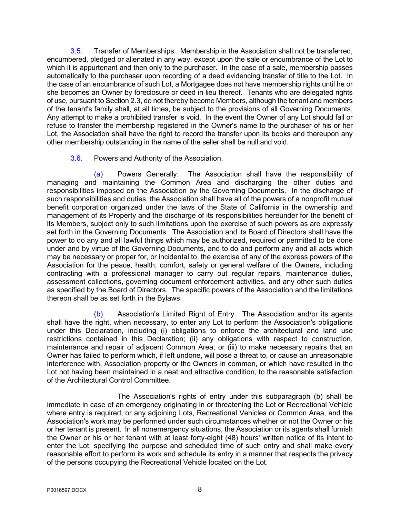3.5. Transfer of Memberships. Membership in the Association shall not be transferred, encumbered, pledged or alienated in any way, except upon the sale or encumbrance of the Lot to which it is appurtenant and then only to the purchaser. In the case of a sale, membership passes automatically to the purchaser upon recording of a deed evidencing transfer of title to the Lot. In the case of an encumbrance of such Lot, a Mortgagee does not have membership rights until he or she becomes an Owner by foreclosure or deed in lieu thereof. Tenants who are delegated rights of use, pursuant to Section 2.3, do not thereby become Members, although the tenant and members of the tenant's family shall, at all times, be subject to the provisions of all Governing Documents. Any attempt to make a prohibited transfer is void. In the event the Owner of any Lot should fail or refuse to transfer the membership registered in the Owner's name to the purchaser of his or her Lot, the Association shall have the right to record the transfer upon its books and thereupon any other membership outstanding in the name of the seller shall be null and void.

3.6. Powers and Authority of the Association.

(a) Powers Generally. The Association shall have the responsibility of managing and maintaining the Common Area and discharging the other duties and responsibilities imposed on the Association by the Governing Documents. In the discharge of such responsibilities and duties, the Association shall have all of the powers of a nonprofit mutual benefit corporation organized under the laws of the State of California in the ownership and management of its Property and the discharge of its responsibilities hereunder for the benefit of its Members, subject only to such limitations upon the exercise of such powers as are expressly set forth in the Governing Documents. The Association and its Board of Directors shall have the power to do any and all lawful things which may be authorized, required or permitted to be done under and by virtue of the Governing Documents, and to do and perform any and all acts which may be necessary or proper for, or incidental to, the exercise of any of the express powers of the Association for the peace, health, comfort, safety or general welfare of the Owners, including contracting with a professional manager to carry out regular repairs, maintenance duties, assessment collections, governing document enforcement activities, and any other such duties as specified by the Board of Directors. The specific powers of the Association and the limitations thereon shall be as set forth in the Bylaws.

(b) Association's Limited Right of Entry. The Association and/or its agents shall have the right, when necessary, to enter any Lot to perform the Association's obligations under this Declaration, including (i) obligations to enforce the architectural and land use restrictions contained in this Declaration; (ii) any obligations with respect to construction, maintenance and repair of adjacent Common Area; or (iii) to make necessary repairs that an Owner has failed to perform which, if left undone, will pose a threat to, or cause an unreasonable interference with, Association property or the Owners in common, or which have resulted in the Lot not having been maintained in a neat and attractive condition, to the reasonable satisfaction of the Architectural Control Committee.

The Association's rights of entry under this subparagraph (b) shall be immediate in case of an emergency originating in or threatening the Lot or Recreational Vehicle where entry is required, or any adjoining Lots, Recreational Vehicles or Common Area, and the Association's work may be performed under such circumstances whether or not the Owner or his or her tenant is present. In all nonemergency situations, the Association or its agents shall furnish the Owner or his or her tenant with at least forty-eight (48) hours' written notice of its intent to enter the Lot, specifying the purpose and scheduled time of such entry and shall make every reasonable effort to perform its work and schedule its entry in a manner that respects the privacy of the persons occupying the Recreational Vehicle located on the Lot.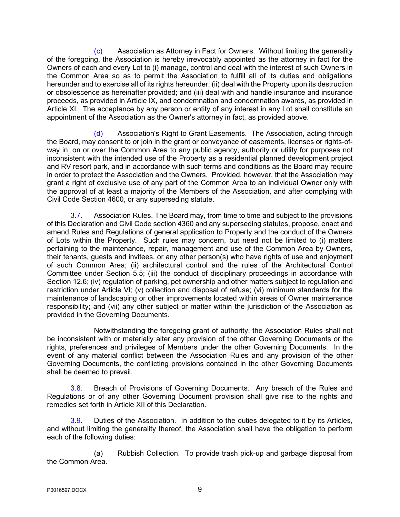(c) Association as Attorney in Fact for Owners. Without limiting the generality of the foregoing, the Association is hereby irrevocably appointed as the attorney in fact for the Owners of each and every Lot to (i) manage, control and deal with the interest of such Owners in the Common Area so as to permit the Association to fulfill all of its duties and obligations hereunder and to exercise all of its rights hereunder; (ii) deal with the Property upon its destruction or obsolescence as hereinafter provided; and (iii) deal with and handle insurance and insurance proceeds, as provided in Article IX, and condemnation and condemnation awards, as provided in Article XI. The acceptance by any person or entity of any interest in any Lot shall constitute an appointment of the Association as the Owner's attorney in fact, as provided above.

(d) Association's Right to Grant Easements. The Association, acting through the Board, may consent to or join in the grant or conveyance of easements, licenses or rights-ofway in, on or over the Common Area to any public agency, authority or utility for purposes not inconsistent with the intended use of the Property as a residential planned development project and RV resort park, and in accordance with such terms and conditions as the Board may require in order to protect the Association and the Owners. Provided, however, that the Association may grant a right of exclusive use of any part of the Common Area to an individual Owner only with the approval of at least a majority of the Members of the Association, and after complying with Civil Code Section 4600, or any superseding statute.

3.7. Association Rules. The Board may, from time to time and subject to the provisions of this Declaration and Civil Code section 4360 and any superseding statutes, propose, enact and amend Rules and Regulations of general application to Property and the conduct of the Owners of Lots within the Property. Such rules may concern, but need not be limited to (i) matters pertaining to the maintenance, repair, management and use of the Common Area by Owners, their tenants, guests and invitees, or any other person(s) who have rights of use and enjoyment of such Common Area; (ii) architectural control and the rules of the Architectural Control Committee under Section 5.5; (iii) the conduct of disciplinary proceedings in accordance with Section 12.6; (iv) regulation of parking, pet ownership and other matters subject to regulation and restriction under Article VI; (v) collection and disposal of refuse; (vi) minimum standards for the maintenance of landscaping or other improvements located within areas of Owner maintenance responsibility; and (vii) any other subject or matter within the jurisdiction of the Association as provided in the Governing Documents.

Notwithstanding the foregoing grant of authority, the Association Rules shall not be inconsistent with or materially alter any provision of the other Governing Documents or the rights, preferences and privileges of Members under the other Governing Documents. In the event of any material conflict between the Association Rules and any provision of the other Governing Documents, the conflicting provisions contained in the other Governing Documents shall be deemed to prevail.

3.8. Breach of Provisions of Governing Documents. Any breach of the Rules and Regulations or of any other Governing Document provision shall give rise to the rights and remedies set forth in Article XII of this Declaration.

3.9. Duties of the Association. In addition to the duties delegated to it by its Articles, and without limiting the generality thereof, the Association shall have the obligation to perform each of the following duties:

(a) Rubbish Collection. To provide trash pick-up and garbage disposal from the Common Area.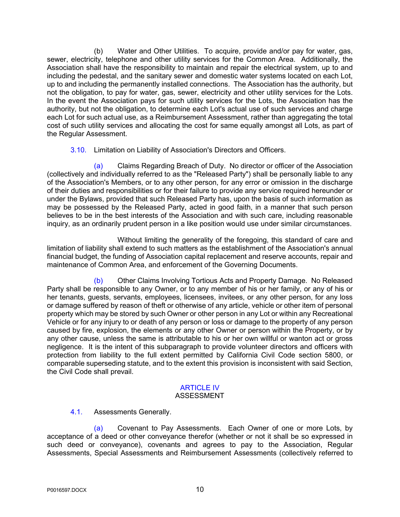(b) Water and Other Utilities. To acquire, provide and/or pay for water, gas, sewer, electricity, telephone and other utility services for the Common Area. Additionally, the Association shall have the responsibility to maintain and repair the electrical system, up to and including the pedestal, and the sanitary sewer and domestic water systems located on each Lot, up to and including the permanently installed connections. The Association has the authority, but not the obligation, to pay for water, gas, sewer, electricity and other utility services for the Lots. In the event the Association pays for such utility services for the Lots, the Association has the authority, but not the obligation, to determine each Lot's actual use of such services and charge each Lot for such actual use, as a Reimbursement Assessment, rather than aggregating the total cost of such utility services and allocating the cost for same equally amongst all Lots, as part of the Regular Assessment.

#### 3.10. Limitation on Liability of Association's Directors and Officers.

(a) Claims Regarding Breach of Duty. No director or officer of the Association (collectively and individually referred to as the "Released Party") shall be personally liable to any of the Association's Members, or to any other person, for any error or omission in the discharge of their duties and responsibilities or for their failure to provide any service required hereunder or under the Bylaws, provided that such Released Party has, upon the basis of such information as may be possessed by the Released Party, acted in good faith, in a manner that such person believes to be in the best interests of the Association and with such care, including reasonable inquiry, as an ordinarily prudent person in a like position would use under similar circumstances.

Without limiting the generality of the foregoing, this standard of care and limitation of liability shall extend to such matters as the establishment of the Association's annual financial budget, the funding of Association capital replacement and reserve accounts, repair and maintenance of Common Area, and enforcement of the Governing Documents.

(b) Other Claims Involving Tortious Acts and Property Damage. No Released Party shall be responsible to any Owner, or to any member of his or her family, or any of his or her tenants, guests, servants, employees, licensees, invitees, or any other person, for any loss or damage suffered by reason of theft or otherwise of any article, vehicle or other item of personal property which may be stored by such Owner or other person in any Lot or within any Recreational Vehicle or for any injury to or death of any person or loss or damage to the property of any person caused by fire, explosion, the elements or any other Owner or person within the Property, or by any other cause, unless the same is attributable to his or her own willful or wanton act or gross negligence. It is the intent of this subparagraph to provide volunteer directors and officers with protection from liability to the full extent permitted by California Civil Code section 5800, or comparable superseding statute, and to the extent this provision is inconsistent with said Section, the Civil Code shall prevail.

## ARTICLE IV

## ASSESSMENT

## 4.1. Assessments Generally.

(a) Covenant to Pay Assessments. Each Owner of one or more Lots, by acceptance of a deed or other conveyance therefor (whether or not it shall be so expressed in such deed or conveyance), covenants and agrees to pay to the Association, Regular Assessments, Special Assessments and Reimbursement Assessments (collectively referred to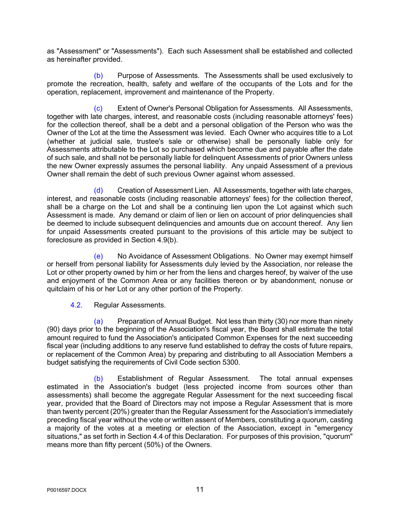as "Assessment" or "Assessments"). Each such Assessment shall be established and collected as hereinafter provided.

(b) Purpose of Assessments. The Assessments shall be used exclusively to promote the recreation, health, safety and welfare of the occupants of the Lots and for the operation, replacement, improvement and maintenance of the Property.

Extent of Owner's Personal Obligation for Assessments. All Assessments, together with late charges, interest, and reasonable costs (including reasonable attorneys' fees) for the collection thereof, shall be a debt and a personal obligation of the Person who was the Owner of the Lot at the time the Assessment was levied. Each Owner who acquires title to a Lot (whether at judicial sale, trustee's sale or otherwise) shall be personally liable only for Assessments attributable to the Lot so purchased which become due and payable after the date of such sale, and shall not be personally liable for delinquent Assessments of prior Owners unless the new Owner expressly assumes the personal liability. Any unpaid Assessment of a previous Owner shall remain the debt of such previous Owner against whom assessed.

(d) Creation of Assessment Lien. All Assessments, together with late charges, interest, and reasonable costs (including reasonable attorneys' fees) for the collection thereof, shall be a charge on the Lot and shall be a continuing lien upon the Lot against which such Assessment is made. Any demand or claim of lien or lien on account of prior delinquencies shall be deemed to include subsequent delinquencies and amounts due on account thereof. Any lien for unpaid Assessments created pursuant to the provisions of this article may be subject to foreclosure as provided in Section 4.9(b).

(e) No Avoidance of Assessment Obligations. No Owner may exempt himself or herself from personal liability for Assessments duly levied by the Association, nor release the Lot or other property owned by him or her from the liens and charges hereof, by waiver of the use and enjoyment of the Common Area or any facilities thereon or by abandonment, nonuse or quitclaim of his or her Lot or any other portion of the Property.

4.2. Regular Assessments.

(a) Preparation of Annual Budget. Not less than thirty (30) nor more than ninety (90) days prior to the beginning of the Association's fiscal year, the Board shall estimate the total amount required to fund the Association's anticipated Common Expenses for the next succeeding fiscal year (including additions to any reserve fund established to defray the costs of future repairs, or replacement of the Common Area) by preparing and distributing to all Association Members a budget satisfying the requirements of Civil Code section 5300.

(b) Establishment of Regular Assessment. The total annual expenses estimated in the Association's budget (less projected income from sources other than assessments) shall become the aggregate Regular Assessment for the next succeeding fiscal year, provided that the Board of Directors may not impose a Regular Assessment that is more than twenty percent (20%) greater than the Regular Assessment for the Association's immediately preceding fiscal year without the vote or written assent of Members, constituting a quorum, casting a majority of the votes at a meeting or election of the Association, except in "emergency situations," as set forth in Section 4.4 of this Declaration. For purposes of this provision, "quorum" means more than fifty percent (50%) of the Owners.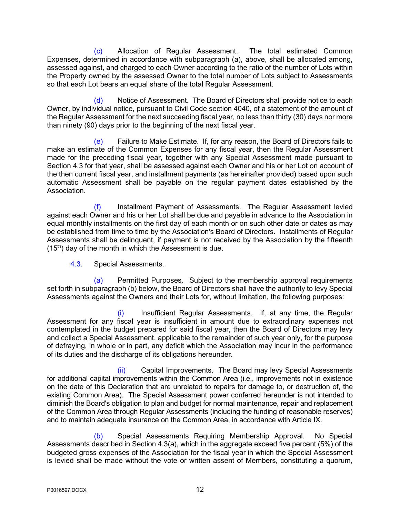(c) Allocation of Regular Assessment. The total estimated Common Expenses, determined in accordance with subparagraph (a), above, shall be allocated among, assessed against, and charged to each Owner according to the ratio of the number of Lots within the Property owned by the assessed Owner to the total number of Lots subject to Assessments so that each Lot bears an equal share of the total Regular Assessment.

(d) Notice of Assessment. The Board of Directors shall provide notice to each Owner, by individual notice, pursuant to Civil Code section 4040, of a statement of the amount of the Regular Assessment for the next succeeding fiscal year, no less than thirty (30) days nor more than ninety (90) days prior to the beginning of the next fiscal year.

(e) Failure to Make Estimate. If, for any reason, the Board of Directors fails to make an estimate of the Common Expenses for any fiscal year, then the Regular Assessment made for the preceding fiscal year, together with any Special Assessment made pursuant to Section 4.3 for that year, shall be assessed against each Owner and his or her Lot on account of the then current fiscal year, and installment payments (as hereinafter provided) based upon such automatic Assessment shall be payable on the regular payment dates established by the Association.

(f) Installment Payment of Assessments. The Regular Assessment levied against each Owner and his or her Lot shall be due and payable in advance to the Association in equal monthly installments on the first day of each month or on such other date or dates as may be established from time to time by the Association's Board of Directors. Installments of Regular Assessments shall be delinquent, if payment is not received by the Association by the fifteenth  $(15<sup>th</sup>)$  day of the month in which the Assessment is due.

4.3. Special Assessments.

(a) Permitted Purposes. Subject to the membership approval requirements set forth in subparagraph (b) below, the Board of Directors shall have the authority to levy Special Assessments against the Owners and their Lots for, without limitation, the following purposes:

Insufficient Regular Assessments. If, at any time, the Regular Assessment for any fiscal year is insufficient in amount due to extraordinary expenses not contemplated in the budget prepared for said fiscal year, then the Board of Directors may levy and collect a Special Assessment, applicable to the remainder of such year only, for the purpose of defraying, in whole or in part, any deficit which the Association may incur in the performance of its duties and the discharge of its obligations hereunder.

(ii) Capital Improvements. The Board may levy Special Assessments for additional capital improvements within the Common Area (i.e., improvements not in existence on the date of this Declaration that are unrelated to repairs for damage to, or destruction of, the existing Common Area). The Special Assessment power conferred hereunder is not intended to diminish the Board's obligation to plan and budget for normal maintenance, repair and replacement of the Common Area through Regular Assessments (including the funding of reasonable reserves) and to maintain adequate insurance on the Common Area, in accordance with Article IX.

(b) Special Assessments Requiring Membership Approval. No Special Assessments described in Section 4.3(a), which in the aggregate exceed five percent (5%) of the budgeted gross expenses of the Association for the fiscal year in which the Special Assessment is levied shall be made without the vote or written assent of Members, constituting a quorum,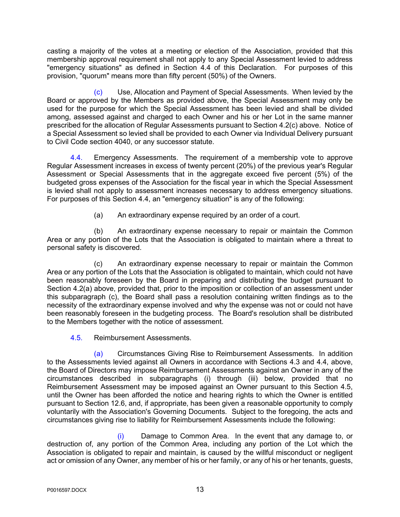casting a majority of the votes at a meeting or election of the Association, provided that this membership approval requirement shall not apply to any Special Assessment levied to address "emergency situations" as defined in Section 4.4 of this Declaration. For purposes of this provision, "quorum" means more than fifty percent (50%) of the Owners.

(c) Use, Allocation and Payment of Special Assessments. When levied by the Board or approved by the Members as provided above, the Special Assessment may only be used for the purpose for which the Special Assessment has been levied and shall be divided among, assessed against and charged to each Owner and his or her Lot in the same manner prescribed for the allocation of Regular Assessments pursuant to Section 4.2(c) above. Notice of a Special Assessment so levied shall be provided to each Owner via Individual Delivery pursuant to Civil Code section 4040, or any successor statute.

4.4. Emergency Assessments. The requirement of a membership vote to approve Regular Assessment increases in excess of twenty percent (20%) of the previous year's Regular Assessment or Special Assessments that in the aggregate exceed five percent (5%) of the budgeted gross expenses of the Association for the fiscal year in which the Special Assessment is levied shall not apply to assessment increases necessary to address emergency situations. For purposes of this Section 4.4, an "emergency situation" is any of the following:

(a) An extraordinary expense required by an order of a court.

(b) An extraordinary expense necessary to repair or maintain the Common Area or any portion of the Lots that the Association is obligated to maintain where a threat to personal safety is discovered.

(c) An extraordinary expense necessary to repair or maintain the Common Area or any portion of the Lots that the Association is obligated to maintain, which could not have been reasonably foreseen by the Board in preparing and distributing the budget pursuant to Section 4.2(a) above, provided that, prior to the imposition or collection of an assessment under this subparagraph (c), the Board shall pass a resolution containing written findings as to the necessity of the extraordinary expense involved and why the expense was not or could not have been reasonably foreseen in the budgeting process. The Board's resolution shall be distributed to the Members together with the notice of assessment.

4.5. Reimbursement Assessments.

(a) Circumstances Giving Rise to Reimbursement Assessments. In addition to the Assessments levied against all Owners in accordance with Sections 4.3 and 4.4, above, the Board of Directors may impose Reimbursement Assessments against an Owner in any of the circumstances described in subparagraphs (i) through (iii) below, provided that no Reimbursement Assessment may be imposed against an Owner pursuant to this Section 4.5, until the Owner has been afforded the notice and hearing rights to which the Owner is entitled pursuant to Section 12.6, and, if appropriate, has been given a reasonable opportunity to comply voluntarily with the Association's Governing Documents. Subject to the foregoing, the acts and circumstances giving rise to liability for Reimbursement Assessments include the following:

(i) Damage to Common Area. In the event that any damage to, or destruction of, any portion of the Common Area, including any portion of the Lot which the Association is obligated to repair and maintain, is caused by the willful misconduct or negligent act or omission of any Owner, any member of his or her family, or any of his or her tenants, guests,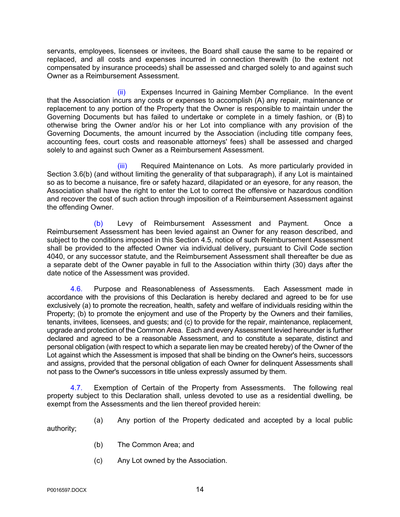servants, employees, licensees or invitees, the Board shall cause the same to be repaired or replaced, and all costs and expenses incurred in connection therewith (to the extent not compensated by insurance proceeds) shall be assessed and charged solely to and against such Owner as a Reimbursement Assessment.

(ii) Expenses Incurred in Gaining Member Compliance. In the event that the Association incurs any costs or expenses to accomplish (A) any repair, maintenance or replacement to any portion of the Property that the Owner is responsible to maintain under the Governing Documents but has failed to undertake or complete in a timely fashion, or (B) to otherwise bring the Owner and/or his or her Lot into compliance with any provision of the Governing Documents, the amount incurred by the Association (including title company fees, accounting fees, court costs and reasonable attorneys' fees) shall be assessed and charged solely to and against such Owner as a Reimbursement Assessment.

(iii) Required Maintenance on Lots. As more particularly provided in Section 3.6(b) (and without limiting the generality of that subparagraph), if any Lot is maintained so as to become a nuisance, fire or safety hazard, dilapidated or an eyesore, for any reason, the Association shall have the right to enter the Lot to correct the offensive or hazardous condition and recover the cost of such action through imposition of a Reimbursement Assessment against the offending Owner.

(b) Levy of Reimbursement Assessment and Payment. Once a Reimbursement Assessment has been levied against an Owner for any reason described, and subject to the conditions imposed in this Section 4.5, notice of such Reimbursement Assessment shall be provided to the affected Owner via individual delivery, pursuant to Civil Code section 4040, or any successor statute, and the Reimbursement Assessment shall thereafter be due as a separate debt of the Owner payable in full to the Association within thirty (30) days after the date notice of the Assessment was provided.

4.6. Purpose and Reasonableness of Assessments. Each Assessment made in accordance with the provisions of this Declaration is hereby declared and agreed to be for use exclusively (a) to promote the recreation, health, safety and welfare of individuals residing within the Property; (b) to promote the enjoyment and use of the Property by the Owners and their families, tenants, invitees, licensees, and guests; and (c) to provide for the repair, maintenance, replacement, upgrade and protection of the Common Area. Each and every Assessment levied hereunder is further declared and agreed to be a reasonable Assessment, and to constitute a separate, distinct and personal obligation (with respect to which a separate lien may be created hereby) of the Owner of the Lot against which the Assessment is imposed that shall be binding on the Owner's heirs, successors and assigns, provided that the personal obligation of each Owner for delinquent Assessments shall not pass to the Owner's successors in title unless expressly assumed by them.

4.7. Exemption of Certain of the Property from Assessments. The following real property subject to this Declaration shall, unless devoted to use as a residential dwelling, be exempt from the Assessments and the lien thereof provided herein:

(a) Any portion of the Property dedicated and accepted by a local public authority;

- (b) The Common Area; and
- (c) Any Lot owned by the Association.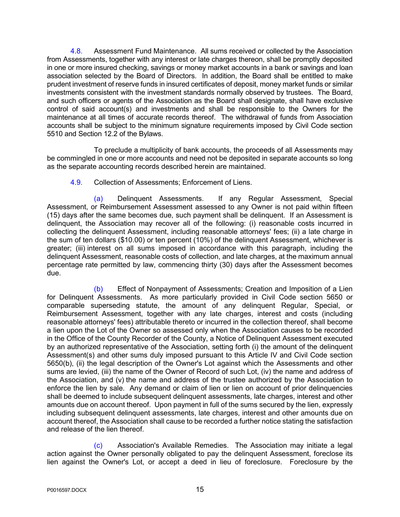4.8. Assessment Fund Maintenance. All sums received or collected by the Association from Assessments, together with any interest or late charges thereon, shall be promptly deposited in one or more insured checking, savings or money market accounts in a bank or savings and loan association selected by the Board of Directors. In addition, the Board shall be entitled to make prudent investment of reserve funds in insured certificates of deposit, money market funds or similar investments consistent with the investment standards normally observed by trustees. The Board, and such officers or agents of the Association as the Board shall designate, shall have exclusive control of said account(s) and investments and shall be responsible to the Owners for the maintenance at all times of accurate records thereof. The withdrawal of funds from Association accounts shall be subject to the minimum signature requirements imposed by Civil Code section 5510 and Section 12.2 of the Bylaws.

To preclude a multiplicity of bank accounts, the proceeds of all Assessments may be commingled in one or more accounts and need not be deposited in separate accounts so long as the separate accounting records described herein are maintained.

4.9. Collection of Assessments; Enforcement of Liens.

(a) Delinquent Assessments. If any Regular Assessment, Special Assessment, or Reimbursement Assessment assessed to any Owner is not paid within fifteen (15) days after the same becomes due, such payment shall be delinquent. If an Assessment is delinquent, the Association may recover all of the following: (i) reasonable costs incurred in collecting the delinquent Assessment, including reasonable attorneys' fees; (ii) a late charge in the sum of ten dollars (\$10.00) or ten percent (10%) of the delinquent Assessment, whichever is greater; (iii) interest on all sums imposed in accordance with this paragraph, including the delinquent Assessment, reasonable costs of collection, and late charges, at the maximum annual percentage rate permitted by law, commencing thirty (30) days after the Assessment becomes due.

(b) Effect of Nonpayment of Assessments; Creation and Imposition of a Lien for Delinquent Assessments. As more particularly provided in Civil Code section 5650 or comparable superseding statute, the amount of any delinquent Regular, Special, or Reimbursement Assessment, together with any late charges, interest and costs (including reasonable attorneys' fees) attributable thereto or incurred in the collection thereof, shall become a lien upon the Lot of the Owner so assessed only when the Association causes to be recorded in the Office of the County Recorder of the County, a Notice of Delinquent Assessment executed by an authorized representative of the Association, setting forth (i) the amount of the delinquent Assessment(s) and other sums duly imposed pursuant to this Article IV and Civil Code section 5650(b), (ii) the legal description of the Owner's Lot against which the Assessments and other sums are levied, (iii) the name of the Owner of Record of such Lot, (iv) the name and address of the Association, and (v) the name and address of the trustee authorized by the Association to enforce the lien by sale. Any demand or claim of lien or lien on account of prior delinquencies shall be deemed to include subsequent delinquent assessments, late charges, interest and other amounts due on account thereof. Upon payment in full of the sums secured by the lien, expressly including subsequent delinquent assessments, late charges, interest and other amounts due on account thereof, the Association shall cause to be recorded a further notice stating the satisfaction and release of the lien thereof.

(c) Association's Available Remedies. The Association may initiate a legal action against the Owner personally obligated to pay the delinquent Assessment, foreclose its lien against the Owner's Lot, or accept a deed in lieu of foreclosure. Foreclosure by the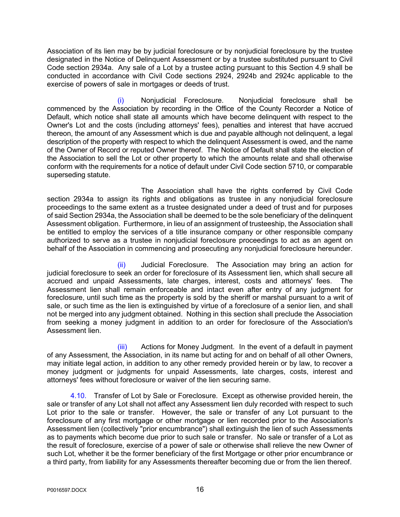Association of its lien may be by judicial foreclosure or by nonjudicial foreclosure by the trustee designated in the Notice of Delinquent Assessment or by a trustee substituted pursuant to Civil Code section 2934a. Any sale of a Lot by a trustee acting pursuant to this Section 4.9 shall be conducted in accordance with Civil Code sections 2924, 2924b and 2924c applicable to the exercise of powers of sale in mortgages or deeds of trust.

(i) Nonjudicial Foreclosure. Nonjudicial foreclosure shall be commenced by the Association by recording in the Office of the County Recorder a Notice of Default, which notice shall state all amounts which have become delinquent with respect to the Owner's Lot and the costs (including attorneys' fees), penalties and interest that have accrued thereon, the amount of any Assessment which is due and payable although not delinquent, a legal description of the property with respect to which the delinquent Assessment is owed, and the name of the Owner of Record or reputed Owner thereof. The Notice of Default shall state the election of the Association to sell the Lot or other property to which the amounts relate and shall otherwise conform with the requirements for a notice of default under Civil Code section 5710, or comparable superseding statute.

 The Association shall have the rights conferred by Civil Code section 2934a to assign its rights and obligations as trustee in any nonjudicial foreclosure proceedings to the same extent as a trustee designated under a deed of trust and for purposes of said Section 2934a, the Association shall be deemed to be the sole beneficiary of the delinquent Assessment obligation. Furthermore, in lieu of an assignment of trusteeship, the Association shall be entitled to employ the services of a title insurance company or other responsible company authorized to serve as a trustee in nonjudicial foreclosure proceedings to act as an agent on behalf of the Association in commencing and prosecuting any nonjudicial foreclosure hereunder.

(ii) Judicial Foreclosure. The Association may bring an action for judicial foreclosure to seek an order for foreclosure of its Assessment lien, which shall secure all accrued and unpaid Assessments, late charges, interest, costs and attorneys' fees. The Assessment lien shall remain enforceable and intact even after entry of any judgment for foreclosure, until such time as the property is sold by the sheriff or marshal pursuant to a writ of sale, or such time as the lien is extinguished by virtue of a foreclosure of a senior lien, and shall not be merged into any judgment obtained. Nothing in this section shall preclude the Association from seeking a money judgment in addition to an order for foreclosure of the Association's Assessment lien.

(iii) Actions for Money Judgment. In the event of a default in payment of any Assessment, the Association, in its name but acting for and on behalf of all other Owners, may initiate legal action, in addition to any other remedy provided herein or by law, to recover a money judgment or judgments for unpaid Assessments, late charges, costs, interest and attorneys' fees without foreclosure or waiver of the lien securing same.

4.10. Transfer of Lot by Sale or Foreclosure. Except as otherwise provided herein, the sale or transfer of any Lot shall not affect any Assessment lien duly recorded with respect to such Lot prior to the sale or transfer. However, the sale or transfer of any Lot pursuant to the foreclosure of any first mortgage or other mortgage or lien recorded prior to the Association's Assessment lien (collectively "prior encumbrance") shall extinguish the lien of such Assessments as to payments which become due prior to such sale or transfer. No sale or transfer of a Lot as the result of foreclosure, exercise of a power of sale or otherwise shall relieve the new Owner of such Lot, whether it be the former beneficiary of the first Mortgage or other prior encumbrance or a third party, from liability for any Assessments thereafter becoming due or from the lien thereof.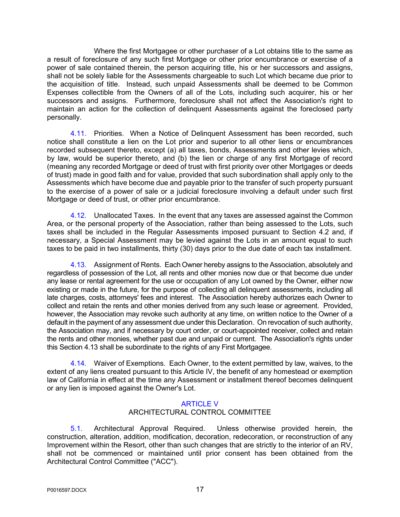Where the first Mortgagee or other purchaser of a Lot obtains title to the same as a result of foreclosure of any such first Mortgage or other prior encumbrance or exercise of a power of sale contained therein, the person acquiring title, his or her successors and assigns, shall not be solely liable for the Assessments chargeable to such Lot which became due prior to the acquisition of title. Instead, such unpaid Assessments shall be deemed to be Common Expenses collectible from the Owners of all of the Lots, including such acquirer, his or her successors and assigns. Furthermore, foreclosure shall not affect the Association's right to maintain an action for the collection of delinquent Assessments against the foreclosed party personally.

4.11. Priorities. When a Notice of Delinquent Assessment has been recorded, such notice shall constitute a lien on the Lot prior and superior to all other liens or encumbrances recorded subsequent thereto, except (a) all taxes, bonds, Assessments and other levies which, by law, would be superior thereto, and (b) the lien or charge of any first Mortgage of record (meaning any recorded Mortgage or deed of trust with first priority over other Mortgages or deeds of trust) made in good faith and for value, provided that such subordination shall apply only to the Assessments which have become due and payable prior to the transfer of such property pursuant to the exercise of a power of sale or a judicial foreclosure involving a default under such first Mortgage or deed of trust, or other prior encumbrance.

4.12. Unallocated Taxes. In the event that any taxes are assessed against the Common Area, or the personal property of the Association, rather than being assessed to the Lots, such taxes shall be included in the Regular Assessments imposed pursuant to Section 4.2 and, if necessary, a Special Assessment may be levied against the Lots in an amount equal to such taxes to be paid in two installments, thirty (30) days prior to the due date of each tax installment.

4.13. Assignment of Rents. Each Owner hereby assigns to the Association, absolutely and regardless of possession of the Lot, all rents and other monies now due or that become due under any lease or rental agreement for the use or occupation of any Lot owned by the Owner, either now existing or made in the future, for the purpose of collecting all delinquent assessments, including all late charges, costs, attorneys' fees and interest. The Association hereby authorizes each Owner to collect and retain the rents and other monies derived from any such lease or agreement. Provided, however, the Association may revoke such authority at any time, on written notice to the Owner of a default in the payment of any assessment due under this Declaration. On revocation of such authority, the Association may, and if necessary by court order, or court-appointed receiver, collect and retain the rents and other monies, whether past due and unpaid or current. The Association's rights under this Section 4.13 shall be subordinate to the rights of any First Mortgagee.

4.14. Waiver of Exemptions. Each Owner, to the extent permitted by law, waives, to the extent of any liens created pursuant to this Article IV, the benefit of any homestead or exemption law of California in effect at the time any Assessment or installment thereof becomes delinquent or any lien is imposed against the Owner's Lot.

## ARTICLE V

## ARCHITECTURAL CONTROL COMMITTEE

5.1. Architectural Approval Required. Unless otherwise provided herein, the construction, alteration, addition, modification, decoration, redecoration, or reconstruction of any Improvement within the Resort, other than such changes that are strictly to the interior of an RV, shall not be commenced or maintained until prior consent has been obtained from the Architectural Control Committee ("ACC").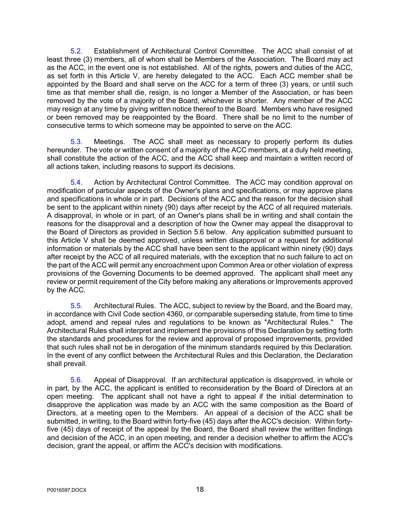5.2. Establishment of Architectural Control Committee. The ACC shall consist of at least three (3) members, all of whom shall be Members of the Association. The Board may act as the ACC, in the event one is not established. All of the rights, powers and duties of the ACC, as set forth in this Article V, are hereby delegated to the ACC. Each ACC member shall be appointed by the Board and shall serve on the ACC for a term of three (3) years, or until such time as that member shall die, resign, is no longer a Member of the Association, or has been removed by the vote of a majority of the Board, whichever is shorter. Any member of the ACC may resign at any time by giving written notice thereof to the Board. Members who have resigned or been removed may be reappointed by the Board. There shall be no limit to the number of consecutive terms to which someone may be appointed to serve on the ACC.

5.3. Meetings. The ACC shall meet as necessary to properly perform its duties hereunder. The vote or written consent of a majority of the ACC members, at a duly held meeting, shall constitute the action of the ACC, and the ACC shall keep and maintain a written record of all actions taken, including reasons to support its decisions.

5.4. Action by Architectural Control Committee. The ACC may condition approval on modification of particular aspects of the Owner's plans and specifications, or may approve plans and specifications in whole or in part. Decisions of the ACC and the reason for the decision shall be sent to the applicant within ninety (90) days after receipt by the ACC of all required materials. A disapproval, in whole or in part, of an Owner's plans shall be in writing and shall contain the reasons for the disapproval and a description of how the Owner may appeal the disapproval to the Board of Directors as provided in Section 5.6 below. Any application submitted pursuant to this Article V shall be deemed approved, unless written disapproval or a request for additional information or materials by the ACC shall have been sent to the applicant within ninety (90) days after receipt by the ACC of all required materials, with the exception that no such failure to act on the part of the ACC will permit any encroachment upon Common Area or other violation of express provisions of the Governing Documents to be deemed approved. The applicant shall meet any review or permit requirement of the City before making any alterations or Improvements approved by the ACC.

5.5. Architectural Rules. The ACC, subject to review by the Board, and the Board may, in accordance with Civil Code section 4360, or comparable superseding statute, from time to time adopt, amend and repeal rules and regulations to be known as "Architectural Rules." The Architectural Rules shall interpret and implement the provisions of this Declaration by setting forth the standards and procedures for the review and approval of proposed improvements, provided that such rules shall not be in derogation of the minimum standards required by this Declaration. In the event of any conflict between the Architectural Rules and this Declaration, the Declaration shall prevail.

5.6. Appeal of Disapproval. If an architectural application is disapproved, in whole or in part, by the ACC, the applicant is entitled to reconsideration by the Board of Directors at an open meeting. The applicant shall not have a right to appeal if the initial determination to disapprove the application was made by an ACC with the same composition as the Board of Directors, at a meeting open to the Members. An appeal of a decision of the ACC shall be submitted, in writing, to the Board within forty-five (45) days after the ACC's decision. Within fortyfive (45) days of receipt of the appeal by the Board, the Board shall review the written findings and decision of the ACC, in an open meeting, and render a decision whether to affirm the ACC's decision, grant the appeal, or affirm the ACC's decision with modifications.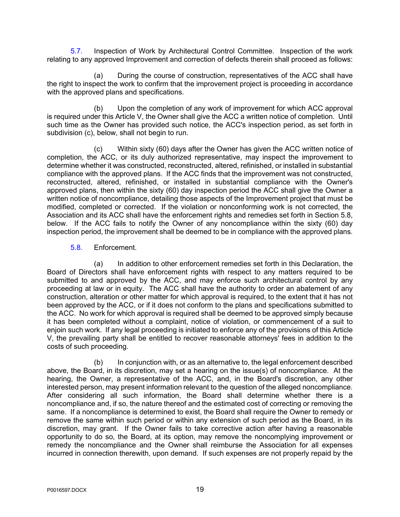5.7. Inspection of Work by Architectural Control Committee. Inspection of the work relating to any approved Improvement and correction of defects therein shall proceed as follows:

(a) During the course of construction, representatives of the ACC shall have the right to inspect the work to confirm that the improvement project is proceeding in accordance with the approved plans and specifications.

(b) Upon the completion of any work of improvement for which ACC approval is required under this Article V, the Owner shall give the ACC a written notice of completion. Until such time as the Owner has provided such notice, the ACC's inspection period, as set forth in subdivision (c), below, shall not begin to run.

(c) Within sixty (60) days after the Owner has given the ACC written notice of completion, the ACC, or its duly authorized representative, may inspect the improvement to determine whether it was constructed, reconstructed, altered, refinished, or installed in substantial compliance with the approved plans. If the ACC finds that the improvement was not constructed, reconstructed, altered, refinished, or installed in substantial compliance with the Owner's approved plans, then within the sixty (60) day inspection period the ACC shall give the Owner a written notice of noncompliance, detailing those aspects of the Improvement project that must be modified, completed or corrected. If the violation or nonconforming work is not corrected, the Association and its ACC shall have the enforcement rights and remedies set forth in Section 5.8, below. If the ACC fails to notify the Owner of any noncompliance within the sixty (60) day inspection period, the improvement shall be deemed to be in compliance with the approved plans.

5.8. Enforcement.

(a) In addition to other enforcement remedies set forth in this Declaration, the Board of Directors shall have enforcement rights with respect to any matters required to be submitted to and approved by the ACC, and may enforce such architectural control by any proceeding at law or in equity. The ACC shall have the authority to order an abatement of any construction, alteration or other matter for which approval is required, to the extent that it has not been approved by the ACC, or if it does not conform to the plans and specifications submitted to the ACC. No work for which approval is required shall be deemed to be approved simply because it has been completed without a complaint, notice of violation, or commencement of a suit to enjoin such work. If any legal proceeding is initiated to enforce any of the provisions of this Article V, the prevailing party shall be entitled to recover reasonable attorneys' fees in addition to the costs of such proceeding.

(b) In conjunction with, or as an alternative to, the legal enforcement described above, the Board, in its discretion, may set a hearing on the issue(s) of noncompliance. At the hearing, the Owner, a representative of the ACC, and, in the Board's discretion, any other interested person, may present information relevant to the question of the alleged noncompliance. After considering all such information, the Board shall determine whether there is a noncompliance and, if so, the nature thereof and the estimated cost of correcting or removing the same. If a noncompliance is determined to exist, the Board shall require the Owner to remedy or remove the same within such period or within any extension of such period as the Board, in its discretion, may grant. If the Owner fails to take corrective action after having a reasonable opportunity to do so, the Board, at its option, may remove the noncomplying improvement or remedy the noncompliance and the Owner shall reimburse the Association for all expenses incurred in connection therewith, upon demand. If such expenses are not properly repaid by the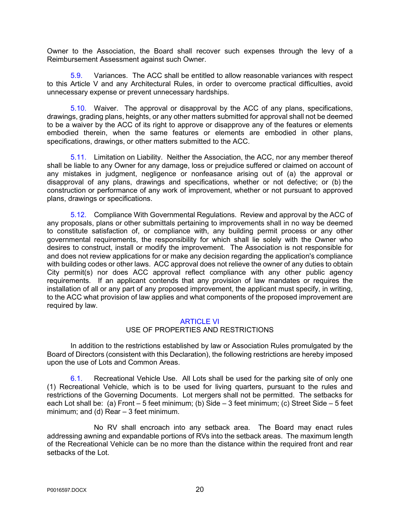Owner to the Association, the Board shall recover such expenses through the levy of a Reimbursement Assessment against such Owner.

5.9. Variances. The ACC shall be entitled to allow reasonable variances with respect to this Article V and any Architectural Rules, in order to overcome practical difficulties, avoid unnecessary expense or prevent unnecessary hardships.

5.10. Waiver. The approval or disapproval by the ACC of any plans, specifications, drawings, grading plans, heights, or any other matters submitted for approval shall not be deemed to be a waiver by the ACC of its right to approve or disapprove any of the features or elements embodied therein, when the same features or elements are embodied in other plans, specifications, drawings, or other matters submitted to the ACC.

5.11. Limitation on Liability. Neither the Association, the ACC, nor any member thereof shall be liable to any Owner for any damage, loss or prejudice suffered or claimed on account of any mistakes in judgment, negligence or nonfeasance arising out of (a) the approval or disapproval of any plans, drawings and specifications, whether or not defective; or (b) the construction or performance of any work of improvement, whether or not pursuant to approved plans, drawings or specifications.

5.12. Compliance With Governmental Regulations. Review and approval by the ACC of any proposals, plans or other submittals pertaining to improvements shall in no way be deemed to constitute satisfaction of, or compliance with, any building permit process or any other governmental requirements, the responsibility for which shall lie solely with the Owner who desires to construct, install or modify the improvement. The Association is not responsible for and does not review applications for or make any decision regarding the application's compliance with building codes or other laws. ACC approval does not relieve the owner of any duties to obtain City permit(s) nor does ACC approval reflect compliance with any other public agency requirements. If an applicant contends that any provision of law mandates or requires the installation of all or any part of any proposed improvement, the applicant must specify, in writing, to the ACC what provision of law applies and what components of the proposed improvement are required by law.

#### ARTICLE VI

#### USE OF PROPERTIES AND RESTRICTIONS

In addition to the restrictions established by law or Association Rules promulgated by the Board of Directors (consistent with this Declaration), the following restrictions are hereby imposed upon the use of Lots and Common Areas.

6.1. Recreational Vehicle Use. All Lots shall be used for the parking site of only one (1) Recreational Vehicle, which is to be used for living quarters, pursuant to the rules and restrictions of the Governing Documents. Lot mergers shall not be permitted. The setbacks for each Lot shall be: (a) Front – 5 feet minimum; (b) Side – 3 feet minimum; (c) Street Side – 5 feet minimum; and (d) Rear – 3 feet minimum.

No RV shall encroach into any setback area. The Board may enact rules addressing awning and expandable portions of RVs into the setback areas. The maximum length of the Recreational Vehicle can be no more than the distance within the required front and rear setbacks of the Lot.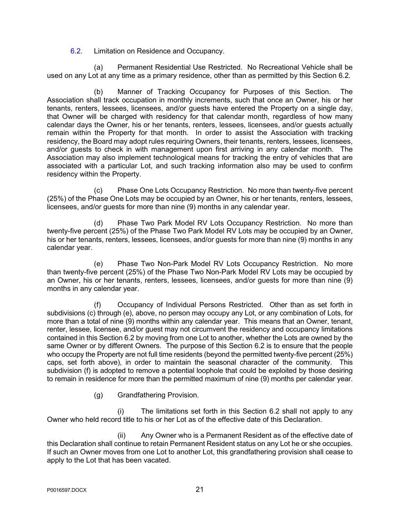6.2. Limitation on Residence and Occupancy.

(a) Permanent Residential Use Restricted. No Recreational Vehicle shall be used on any Lot at any time as a primary residence, other than as permitted by this Section 6.2.

(b) Manner of Tracking Occupancy for Purposes of this Section. The Association shall track occupation in monthly increments, such that once an Owner, his or her tenants, renters, lessees, licensees, and/or guests have entered the Property on a single day, that Owner will be charged with residency for that calendar month, regardless of how many calendar days the Owner, his or her tenants, renters, lessees, licensees, and/or guests actually remain within the Property for that month. In order to assist the Association with tracking residency, the Board may adopt rules requiring Owners, their tenants, renters, lessees, licensees, and/or guests to check in with management upon first arriving in any calendar month. The Association may also implement technological means for tracking the entry of vehicles that are associated with a particular Lot, and such tracking information also may be used to confirm residency within the Property.

(c) Phase One Lots Occupancy Restriction. No more than twenty-five percent (25%) of the Phase One Lots may be occupied by an Owner, his or her tenants, renters, lessees, licensees, and/or guests for more than nine (9) months in any calendar year.

(d) Phase Two Park Model RV Lots Occupancy Restriction. No more than twenty-five percent (25%) of the Phase Two Park Model RV Lots may be occupied by an Owner, his or her tenants, renters, lessees, licensees, and/or guests for more than nine (9) months in any calendar year.

(e) Phase Two Non-Park Model RV Lots Occupancy Restriction. No more than twenty-five percent (25%) of the Phase Two Non-Park Model RV Lots may be occupied by an Owner, his or her tenants, renters, lessees, licensees, and/or guests for more than nine (9) months in any calendar year.

(f) Occupancy of Individual Persons Restricted. Other than as set forth in subdivisions (c) through (e), above, no person may occupy any Lot, or any combination of Lots, for more than a total of nine (9) months within any calendar year. This means that an Owner, tenant, renter, lessee, licensee, and/or guest may not circumvent the residency and occupancy limitations contained in this Section 6.2 by moving from one Lot to another, whether the Lots are owned by the same Owner or by different Owners. The purpose of this Section 6.2 is to ensure that the people who occupy the Property are not full time residents (beyond the permitted twenty-five percent (25%) caps, set forth above), in order to maintain the seasonal character of the community. This subdivision (f) is adopted to remove a potential loophole that could be exploited by those desiring to remain in residence for more than the permitted maximum of nine (9) months per calendar year.

(g) Grandfathering Provision.

(i) The limitations set forth in this Section 6.2 shall not apply to any Owner who held record title to his or her Lot as of the effective date of this Declaration.

(ii) Any Owner who is a Permanent Resident as of the effective date of this Declaration shall continue to retain Permanent Resident status on any Lot he or she occupies. If such an Owner moves from one Lot to another Lot, this grandfathering provision shall cease to apply to the Lot that has been vacated.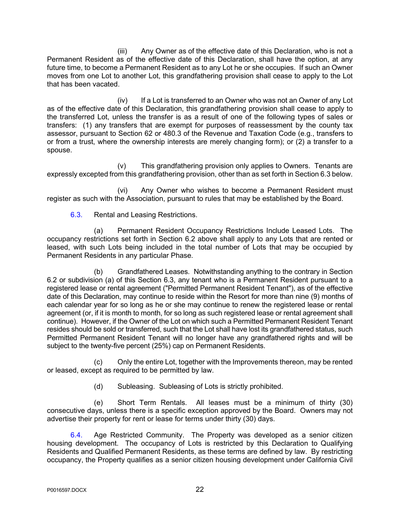(iii) Any Owner as of the effective date of this Declaration, who is not a Permanent Resident as of the effective date of this Declaration, shall have the option, at any future time, to become a Permanent Resident as to any Lot he or she occupies. If such an Owner moves from one Lot to another Lot, this grandfathering provision shall cease to apply to the Lot that has been vacated.

(iv) If a Lot is transferred to an Owner who was not an Owner of any Lot as of the effective date of this Declaration, this grandfathering provision shall cease to apply to the transferred Lot, unless the transfer is as a result of one of the following types of sales or transfers: (1) any transfers that are exempt for purposes of reassessment by the county tax assessor, pursuant to Section 62 or 480.3 of the Revenue and Taxation Code (e.g., transfers to or from a trust, where the ownership interests are merely changing form); or (2) a transfer to a spouse.

(v) This grandfathering provision only applies to Owners. Tenants are expressly excepted from this grandfathering provision, other than as set forth in Section 6.3 below.

(vi) Any Owner who wishes to become a Permanent Resident must register as such with the Association, pursuant to rules that may be established by the Board.

6.3. Rental and Leasing Restrictions.

(a) Permanent Resident Occupancy Restrictions Include Leased Lots. The occupancy restrictions set forth in Section 6.2 above shall apply to any Lots that are rented or leased, with such Lots being included in the total number of Lots that may be occupied by Permanent Residents in any particular Phase.

(b) Grandfathered Leases. Notwithstanding anything to the contrary in Section 6.2 or subdivision (a) of this Section 6.3, any tenant who is a Permanent Resident pursuant to a registered lease or rental agreement ("Permitted Permanent Resident Tenant"), as of the effective date of this Declaration, may continue to reside within the Resort for more than nine (9) months of each calendar year for so long as he or she may continue to renew the registered lease or rental agreement (or, if it is month to month, for so long as such registered lease or rental agreement shall continue). However, if the Owner of the Lot on which such a Permitted Permanent Resident Tenant resides should be sold or transferred, such that the Lot shall have lost its grandfathered status, such Permitted Permanent Resident Tenant will no longer have any grandfathered rights and will be subject to the twenty-five percent (25%) cap on Permanent Residents.

(c) Only the entire Lot, together with the Improvements thereon, may be rented or leased, except as required to be permitted by law.

(d) Subleasing. Subleasing of Lots is strictly prohibited.

(e) Short Term Rentals. All leases must be a minimum of thirty (30) consecutive days, unless there is a specific exception approved by the Board. Owners may not advertise their property for rent or lease for terms under thirty (30) days.

6.4. Age Restricted Community. The Property was developed as a senior citizen housing development. The occupancy of Lots is restricted by this Declaration to Qualifying Residents and Qualified Permanent Residents, as these terms are defined by law. By restricting occupancy, the Property qualifies as a senior citizen housing development under California Civil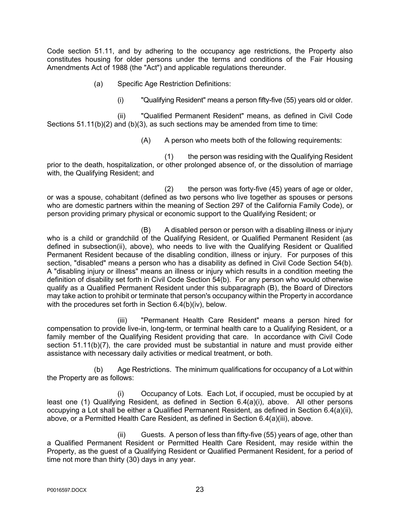Code section 51.11, and by adhering to the occupancy age restrictions, the Property also constitutes housing for older persons under the terms and conditions of the Fair Housing Amendments Act of 1988 (the "Act") and applicable regulations thereunder.

- (a) Specific Age Restriction Definitions:
	- (i) "Qualifying Resident" means a person fifty-five (55) years old or older.

(ii) "Qualified Permanent Resident" means, as defined in Civil Code Sections 51.11(b)(2) and (b)(3), as such sections may be amended from time to time:

(A) A person who meets both of the following requirements:

(1) the person was residing with the Qualifying Resident prior to the death, hospitalization, or other prolonged absence of, or the dissolution of marriage with, the Qualifying Resident; and

(2) the person was forty-five (45) years of age or older, or was a spouse, cohabitant (defined as two persons who live together as spouses or persons who are domestic partners within the meaning of Section 297 of the California Family Code), or person providing primary physical or economic support to the Qualifying Resident; or

(B) A disabled person or person with a disabling illness or injury who is a child or grandchild of the Qualifying Resident, or Qualified Permanent Resident (as defined in subsection(ii), above), who needs to live with the Qualifying Resident or Qualified Permanent Resident because of the disabling condition, illness or injury. For purposes of this section, "disabled" means a person who has a disability as defined in Civil Code Section 54(b). A "disabling injury or illness" means an illness or injury which results in a condition meeting the definition of disability set forth in Civil Code Section 54(b). For any person who would otherwise qualify as a Qualified Permanent Resident under this subparagraph (B), the Board of Directors may take action to prohibit or terminate that person's occupancy within the Property in accordance with the procedures set forth in Section 6.4(b)(iv), below.

(iii) "Permanent Health Care Resident" means a person hired for compensation to provide live-in, long-term, or terminal health care to a Qualifying Resident, or a family member of the Qualifying Resident providing that care. In accordance with Civil Code section 51.11(b)(7), the care provided must be substantial in nature and must provide either assistance with necessary daily activities or medical treatment, or both.

(b) Age Restrictions. The minimum qualifications for occupancy of a Lot within the Property are as follows:

(i) Occupancy of Lots. Each Lot, if occupied, must be occupied by at least one (1) Qualifying Resident, as defined in Section 6.4(a)(i), above. All other persons occupying a Lot shall be either a Qualified Permanent Resident, as defined in Section 6.4(a)(ii), above, or a Permitted Health Care Resident, as defined in Section 6.4(a)(iii), above.

(ii) Guests. A person of less than fifty-five (55) years of age, other than a Qualified Permanent Resident or Permitted Health Care Resident, may reside within the Property, as the guest of a Qualifying Resident or Qualified Permanent Resident, for a period of time not more than thirty (30) days in any year.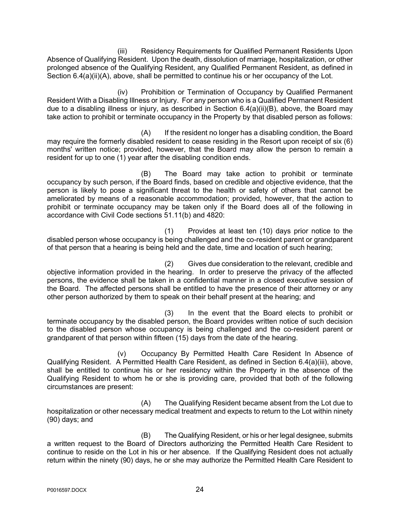(iii) Residency Requirements for Qualified Permanent Residents Upon Absence of Qualifying Resident. Upon the death, dissolution of marriage, hospitalization, or other prolonged absence of the Qualifying Resident, any Qualified Permanent Resident, as defined in Section 6.4(a)(ii)(A), above, shall be permitted to continue his or her occupancy of the Lot.

(iv) Prohibition or Termination of Occupancy by Qualified Permanent Resident With a Disabling Illness or Injury. For any person who is a Qualified Permanent Resident due to a disabling illness or injury, as described in Section 6.4(a)(ii)(B), above, the Board may take action to prohibit or terminate occupancy in the Property by that disabled person as follows:

(A) If the resident no longer has a disabling condition, the Board may require the formerly disabled resident to cease residing in the Resort upon receipt of six (6) months' written notice; provided, however, that the Board may allow the person to remain a resident for up to one (1) year after the disabling condition ends.

(B) The Board may take action to prohibit or terminate occupancy by such person, if the Board finds, based on credible and objective evidence, that the person is likely to pose a significant threat to the health or safety of others that cannot be ameliorated by means of a reasonable accommodation; provided, however, that the action to prohibit or terminate occupancy may be taken only if the Board does all of the following in accordance with Civil Code sections 51.11(b) and 4820:

(1) Provides at least ten (10) days prior notice to the disabled person whose occupancy is being challenged and the co-resident parent or grandparent of that person that a hearing is being held and the date, time and location of such hearing;

(2) Gives due consideration to the relevant, credible and objective information provided in the hearing. In order to preserve the privacy of the affected persons, the evidence shall be taken in a confidential manner in a closed executive session of the Board. The affected persons shall be entitled to have the presence of their attorney or any other person authorized by them to speak on their behalf present at the hearing; and

(3) In the event that the Board elects to prohibit or terminate occupancy by the disabled person, the Board provides written notice of such decision to the disabled person whose occupancy is being challenged and the co-resident parent or grandparent of that person within fifteen (15) days from the date of the hearing.

(v) Occupancy By Permitted Health Care Resident In Absence of Qualifying Resident. A Permitted Health Care Resident, as defined in Section 6.4(a)(iii), above, shall be entitled to continue his or her residency within the Property in the absence of the Qualifying Resident to whom he or she is providing care, provided that both of the following circumstances are present:

(A) The Qualifying Resident became absent from the Lot due to hospitalization or other necessary medical treatment and expects to return to the Lot within ninety (90) days; and

(B) The Qualifying Resident, or his or her legal designee, submits a written request to the Board of Directors authorizing the Permitted Health Care Resident to continue to reside on the Lot in his or her absence. If the Qualifying Resident does not actually return within the ninety (90) days, he or she may authorize the Permitted Health Care Resident to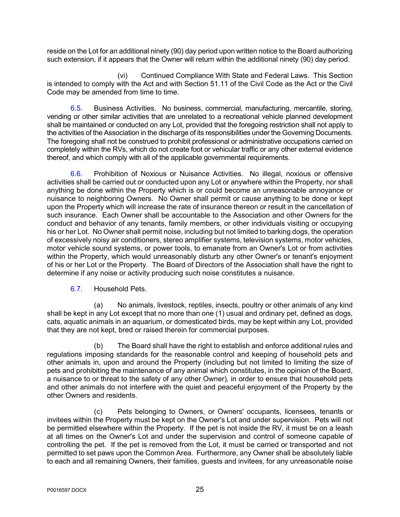reside on the Lot for an additional ninety (90) day period upon written notice to the Board authorizing such extension, if it appears that the Owner will return within the additional ninety (90) day period.

(vi) Continued Compliance With State and Federal Laws. This Section is intended to comply with the Act and with Section 51.11 of the Civil Code as the Act or the Civil Code may be amended from time to time.

6.5. Business Activities. No business, commercial, manufacturing, mercantile, storing, vending or other similar activities that are unrelated to a recreational vehicle planned development shall be maintained or conducted on any Lot, provided that the foregoing restriction shall not apply to the activities of the Association in the discharge of its responsibilities under the Governing Documents. The foregoing shall not be construed to prohibit professional or administrative occupations carried on completely within the RVs, which do not create foot or vehicular traffic or any other external evidence thereof, and which comply with all of the applicable governmental requirements.

6.6. Prohibition of Noxious or Nuisance Activities. No illegal, noxious or offensive activities shall be carried out or conducted upon any Lot or anywhere within the Property, nor shall anything be done within the Property which is or could become an unreasonable annoyance or nuisance to neighboring Owners. No Owner shall permit or cause anything to be done or kept upon the Property which will increase the rate of insurance thereon or result in the cancellation of such insurance. Each Owner shall be accountable to the Association and other Owners for the conduct and behavior of any tenants, family members, or other individuals visiting or occupying his or her Lot. No Owner shall permit noise, including but not limited to barking dogs, the operation of excessively noisy air conditioners, stereo amplifier systems, television systems, motor vehicles, motor vehicle sound systems, or power tools, to emanate from an Owner's Lot or from activities within the Property, which would unreasonably disturb any other Owner's or tenant's enjoyment of his or her Lot or the Property. The Board of Directors of the Association shall have the right to determine if any noise or activity producing such noise constitutes a nuisance.

6.7. Household Pets.

(a) No animals, livestock, reptiles, insects, poultry or other animals of any kind shall be kept in any Lot except that no more than one (1) usual and ordinary pet, defined as dogs, cats, aquatic animals in an aquarium, or domesticated birds, may be kept within any Lot, provided that they are not kept, bred or raised therein for commercial purposes.

(b) The Board shall have the right to establish and enforce additional rules and regulations imposing standards for the reasonable control and keeping of household pets and other animals in, upon and around the Property (including but not limited to limiting the size of pets and prohibiting the maintenance of any animal which constitutes, in the opinion of the Board, a nuisance to or threat to the safety of any other Owner), in order to ensure that household pets and other animals do not interfere with the quiet and peaceful enjoyment of the Property by the other Owners and residents.

(c) Pets belonging to Owners, or Owners' occupants, licensees, tenants or invitees within the Property must be kept on the Owner's Lot and under supervision. Pets will not be permitted elsewhere within the Property. If the pet is not inside the RV, it must be on a leash at all times on the Owner's Lot and under the supervision and control of someone capable of controlling the pet. If the pet is removed from the Lot, it must be carried or transported and not permitted to set paws upon the Common Area. Furthermore, any Owner shall be absolutely liable to each and all remaining Owners, their families, guests and invitees, for any unreasonable noise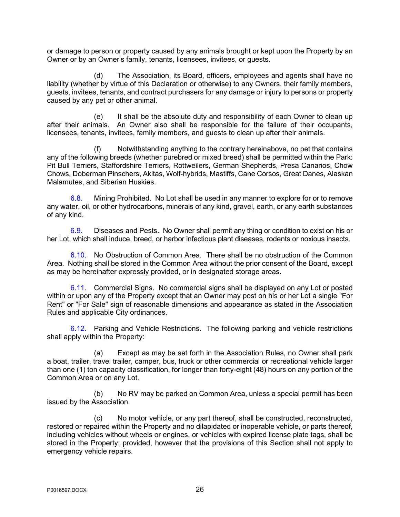or damage to person or property caused by any animals brought or kept upon the Property by an Owner or by an Owner's family, tenants, licensees, invitees, or guests.

(d) The Association, its Board, officers, employees and agents shall have no liability (whether by virtue of this Declaration or otherwise) to any Owners, their family members, guests, invitees, tenants, and contract purchasers for any damage or injury to persons or property caused by any pet or other animal.

(e) It shall be the absolute duty and responsibility of each Owner to clean up after their animals. An Owner also shall be responsible for the failure of their occupants, licensees, tenants, invitees, family members, and guests to clean up after their animals.

Notwithstanding anything to the contrary hereinabove, no pet that contains any of the following breeds (whether purebred or mixed breed) shall be permitted within the Park: Pit Bull Terriers, Staffordshire Terriers, Rottweilers, German Shepherds, Presa Canarios, Chow Chows, Doberman Pinschers, Akitas, Wolf-hybrids, Mastiffs, Cane Corsos, Great Danes, Alaskan Malamutes, and Siberian Huskies.

6.8. Mining Prohibited. No Lot shall be used in any manner to explore for or to remove any water, oil, or other hydrocarbons, minerals of any kind, gravel, earth, or any earth substances of any kind.

6.9. Diseases and Pests. No Owner shall permit any thing or condition to exist on his or her Lot, which shall induce, breed, or harbor infectious plant diseases, rodents or noxious insects.

6.10. No Obstruction of Common Area. There shall be no obstruction of the Common Area. Nothing shall be stored in the Common Area without the prior consent of the Board, except as may be hereinafter expressly provided, or in designated storage areas.

6.11. Commercial Signs. No commercial signs shall be displayed on any Lot or posted within or upon any of the Property except that an Owner may post on his or her Lot a single "For Rent" or "For Sale" sign of reasonable dimensions and appearance as stated in the Association Rules and applicable City ordinances.

6.12. Parking and Vehicle Restrictions. The following parking and vehicle restrictions shall apply within the Property:

(a) Except as may be set forth in the Association Rules, no Owner shall park a boat, trailer, travel trailer, camper, bus, truck or other commercial or recreational vehicle larger than one (1) ton capacity classification, for longer than forty-eight (48) hours on any portion of the Common Area or on any Lot.

(b) No RV may be parked on Common Area, unless a special permit has been issued by the Association.

(c) No motor vehicle, or any part thereof, shall be constructed, reconstructed, restored or repaired within the Property and no dilapidated or inoperable vehicle, or parts thereof, including vehicles without wheels or engines, or vehicles with expired license plate tags, shall be stored in the Property; provided, however that the provisions of this Section shall not apply to emergency vehicle repairs.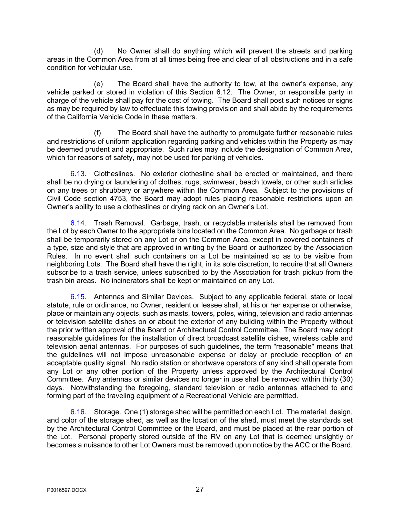(d) No Owner shall do anything which will prevent the streets and parking areas in the Common Area from at all times being free and clear of all obstructions and in a safe condition for vehicular use.

(e) The Board shall have the authority to tow, at the owner's expense, any vehicle parked or stored in violation of this Section 6.12. The Owner, or responsible party in charge of the vehicle shall pay for the cost of towing. The Board shall post such notices or signs as may be required by law to effectuate this towing provision and shall abide by the requirements of the California Vehicle Code in these matters.

(f) The Board shall have the authority to promulgate further reasonable rules and restrictions of uniform application regarding parking and vehicles within the Property as may be deemed prudent and appropriate. Such rules may include the designation of Common Area, which for reasons of safety, may not be used for parking of vehicles.

6.13. Clotheslines. No exterior clothesline shall be erected or maintained, and there shall be no drying or laundering of clothes, rugs, swimwear, beach towels, or other such articles on any trees or shrubbery or anywhere within the Common Area. Subject to the provisions of Civil Code section 4753, the Board may adopt rules placing reasonable restrictions upon an Owner's ability to use a clotheslines or drying rack on an Owner's Lot.

6.14. Trash Removal. Garbage, trash, or recyclable materials shall be removed from the Lot by each Owner to the appropriate bins located on the Common Area. No garbage or trash shall be temporarily stored on any Lot or on the Common Area, except in covered containers of a type, size and style that are approved in writing by the Board or authorized by the Association Rules. In no event shall such containers on a Lot be maintained so as to be visible from neighboring Lots. The Board shall have the right, in its sole discretion, to require that all Owners subscribe to a trash service, unless subscribed to by the Association for trash pickup from the trash bin areas. No incinerators shall be kept or maintained on any Lot.

6.15. Antennas and Similar Devices. Subject to any applicable federal, state or local statute, rule or ordinance, no Owner, resident or lessee shall, at his or her expense or otherwise, place or maintain any objects, such as masts, towers, poles, wiring, television and radio antennas or television satellite dishes on or about the exterior of any building within the Property without the prior written approval of the Board or Architectural Control Committee. The Board may adopt reasonable guidelines for the installation of direct broadcast satellite dishes, wireless cable and television aerial antennas. For purposes of such guidelines, the term "reasonable" means that the guidelines will not impose unreasonable expense or delay or preclude reception of an acceptable quality signal. No radio station or shortwave operators of any kind shall operate from any Lot or any other portion of the Property unless approved by the Architectural Control Committee. Any antennas or similar devices no longer in use shall be removed within thirty (30) days. Notwithstanding the foregoing, standard television or radio antennas attached to and forming part of the traveling equipment of a Recreational Vehicle are permitted.

6.16. Storage. One (1) storage shed will be permitted on each Lot. The material, design, and color of the storage shed, as well as the location of the shed, must meet the standards set by the Architectural Control Committee or the Board, and must be placed at the rear portion of the Lot. Personal property stored outside of the RV on any Lot that is deemed unsightly or becomes a nuisance to other Lot Owners must be removed upon notice by the ACC or the Board.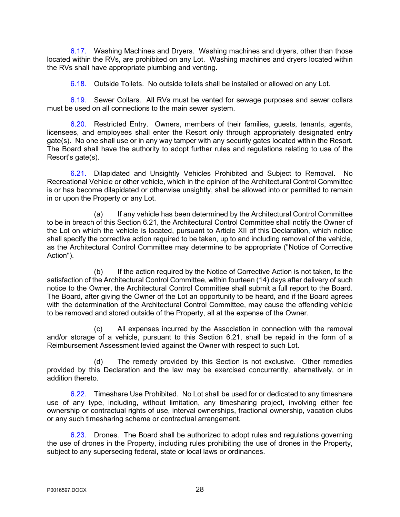6.17. Washing Machines and Dryers. Washing machines and dryers, other than those located within the RVs, are prohibited on any Lot. Washing machines and dryers located within the RVs shall have appropriate plumbing and venting.

6.18. Outside Toilets. No outside toilets shall be installed or allowed on any Lot.

6.19. Sewer Collars. All RVs must be vented for sewage purposes and sewer collars must be used on all connections to the main sewer system.

6.20. Restricted Entry. Owners, members of their families, guests, tenants, agents, licensees, and employees shall enter the Resort only through appropriately designated entry gate(s). No one shall use or in any way tamper with any security gates located within the Resort. The Board shall have the authority to adopt further rules and regulations relating to use of the Resort's gate(s).

6.21. Dilapidated and Unsightly Vehicles Prohibited and Subject to Removal. No Recreational Vehicle or other vehicle, which in the opinion of the Architectural Control Committee is or has become dilapidated or otherwise unsightly, shall be allowed into or permitted to remain in or upon the Property or any Lot.

(a) If any vehicle has been determined by the Architectural Control Committee to be in breach of this Section 6.21, the Architectural Control Committee shall notify the Owner of the Lot on which the vehicle is located, pursuant to Article XII of this Declaration, which notice shall specify the corrective action required to be taken, up to and including removal of the vehicle, as the Architectural Control Committee may determine to be appropriate ("Notice of Corrective Action").

(b) If the action required by the Notice of Corrective Action is not taken, to the satisfaction of the Architectural Control Committee, within fourteen (14) days after delivery of such notice to the Owner, the Architectural Control Committee shall submit a full report to the Board. The Board, after giving the Owner of the Lot an opportunity to be heard, and if the Board agrees with the determination of the Architectural Control Committee, may cause the offending vehicle to be removed and stored outside of the Property, all at the expense of the Owner.

(c) All expenses incurred by the Association in connection with the removal and/or storage of a vehicle, pursuant to this Section 6.21, shall be repaid in the form of a Reimbursement Assessment levied against the Owner with respect to such Lot.

(d) The remedy provided by this Section is not exclusive. Other remedies provided by this Declaration and the law may be exercised concurrently, alternatively, or in addition thereto.

6.22. Timeshare Use Prohibited. No Lot shall be used for or dedicated to any timeshare use of any type, including, without limitation, any timesharing project, involving either fee ownership or contractual rights of use, interval ownerships, fractional ownership, vacation clubs or any such timesharing scheme or contractual arrangement.

6.23. Drones. The Board shall be authorized to adopt rules and regulations governing the use of drones in the Property, including rules prohibiting the use of drones in the Property, subject to any superseding federal, state or local laws or ordinances.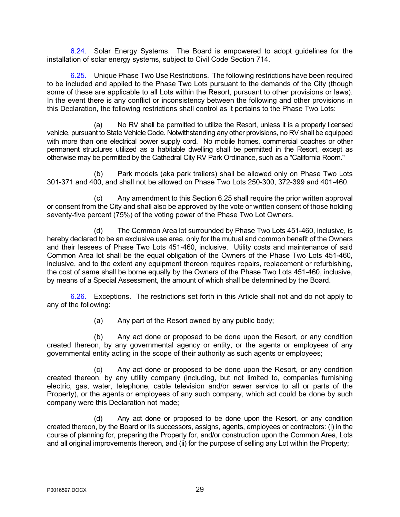6.24. Solar Energy Systems. The Board is empowered to adopt guidelines for the installation of solar energy systems, subject to Civil Code Section 714.

6.25. Unique Phase Two Use Restrictions. The following restrictions have been required to be included and applied to the Phase Two Lots pursuant to the demands of the City (though some of these are applicable to all Lots within the Resort, pursuant to other provisions or laws). In the event there is any conflict or inconsistency between the following and other provisions in this Declaration, the following restrictions shall control as it pertains to the Phase Two Lots:

(a) No RV shall be permitted to utilize the Resort, unless it is a properly licensed vehicle, pursuant to State Vehicle Code. Notwithstanding any other provisions, no RV shall be equipped with more than one electrical power supply cord. No mobile homes, commercial coaches or other permanent structures utilized as a habitable dwelling shall be permitted in the Resort, except as otherwise may be permitted by the Cathedral City RV Park Ordinance, such as a "California Room."

(b) Park models (aka park trailers) shall be allowed only on Phase Two Lots 301-371 and 400, and shall not be allowed on Phase Two Lots 250-300, 372-399 and 401-460.

(c) Any amendment to this Section 6.25 shall require the prior written approval or consent from the City and shall also be approved by the vote or written consent of those holding seventy-five percent (75%) of the voting power of the Phase Two Lot Owners.

(d) The Common Area lot surrounded by Phase Two Lots 451-460, inclusive, is hereby declared to be an exclusive use area, only for the mutual and common benefit of the Owners and their lessees of Phase Two Lots 451-460, inclusive. Utility costs and maintenance of said Common Area lot shall be the equal obligation of the Owners of the Phase Two Lots 451-460, inclusive, and to the extent any equipment thereon requires repairs, replacement or refurbishing, the cost of same shall be borne equally by the Owners of the Phase Two Lots 451-460, inclusive, by means of a Special Assessment, the amount of which shall be determined by the Board.

6.26. Exceptions. The restrictions set forth in this Article shall not and do not apply to any of the following:

(a) Any part of the Resort owned by any public body;

(b) Any act done or proposed to be done upon the Resort, or any condition created thereon, by any governmental agency or entity, or the agents or employees of any governmental entity acting in the scope of their authority as such agents or employees;

(c) Any act done or proposed to be done upon the Resort, or any condition created thereon, by any utility company (including, but not limited to, companies furnishing electric, gas, water, telephone, cable television and/or sewer service to all or parts of the Property), or the agents or employees of any such company, which act could be done by such company were this Declaration not made;

(d) Any act done or proposed to be done upon the Resort, or any condition created thereon, by the Board or its successors, assigns, agents, employees or contractors: (i) in the course of planning for, preparing the Property for, and/or construction upon the Common Area, Lots and all original improvements thereon, and (ii) for the purpose of selling any Lot within the Property;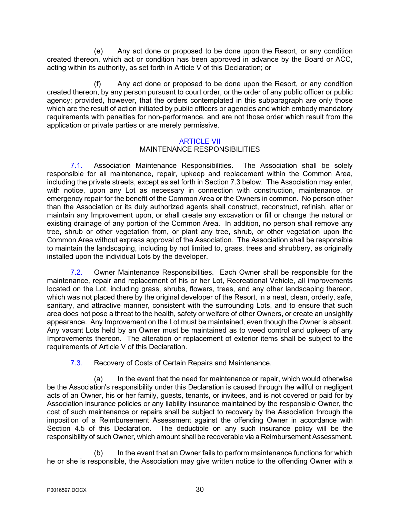(e) Any act done or proposed to be done upon the Resort, or any condition created thereon, which act or condition has been approved in advance by the Board or ACC, acting within its authority, as set forth in Article V of this Declaration; or

(f) Any act done or proposed to be done upon the Resort, or any condition created thereon, by any person pursuant to court order, or the order of any public officer or public agency; provided, however, that the orders contemplated in this subparagraph are only those which are the result of action initiated by public officers or agencies and which embody mandatory requirements with penalties for non-performance, and are not those order which result from the application or private parties or are merely permissive.

## ARTICLE VII

## MAINTENANCE RESPONSIBILITIES

7.1. Association Maintenance Responsibilities. The Association shall be solely responsible for all maintenance, repair, upkeep and replacement within the Common Area, including the private streets, except as set forth in Section 7.3 below. The Association may enter, with notice, upon any Lot as necessary in connection with construction, maintenance, or emergency repair for the benefit of the Common Area or the Owners in common. No person other than the Association or its duly authorized agents shall construct, reconstruct, refinish, alter or maintain any Improvement upon, or shall create any excavation or fill or change the natural or existing drainage of any portion of the Common Area. In addition, no person shall remove any tree, shrub or other vegetation from, or plant any tree, shrub, or other vegetation upon the Common Area without express approval of the Association. The Association shall be responsible to maintain the landscaping, including by not limited to, grass, trees and shrubbery, as originally installed upon the individual Lots by the developer.

7.2. Owner Maintenance Responsibilities. Each Owner shall be responsible for the maintenance, repair and replacement of his or her Lot, Recreational Vehicle, all improvements located on the Lot, including grass, shrubs, flowers, trees, and any other landscaping thereon, which was not placed there by the original developer of the Resort, in a neat, clean, orderly, safe, sanitary, and attractive manner, consistent with the surrounding Lots, and to ensure that such area does not pose a threat to the health, safety or welfare of other Owners, or create an unsightly appearance. Any Improvement on the Lot must be maintained, even though the Owner is absent. Any vacant Lots held by an Owner must be maintained as to weed control and upkeep of any Improvements thereon. The alteration or replacement of exterior items shall be subject to the requirements of Article V of this Declaration.

7.3. Recovery of Costs of Certain Repairs and Maintenance.

(a) In the event that the need for maintenance or repair, which would otherwise be the Association's responsibility under this Declaration is caused through the willful or negligent acts of an Owner, his or her family, guests, tenants, or invitees, and is not covered or paid for by Association insurance policies or any liability insurance maintained by the responsible Owner, the cost of such maintenance or repairs shall be subject to recovery by the Association through the imposition of a Reimbursement Assessment against the offending Owner in accordance with Section 4.5 of this Declaration. The deductible on any such insurance policy will be the responsibility of such Owner, which amount shall be recoverable via a Reimbursement Assessment.

(b) In the event that an Owner fails to perform maintenance functions for which he or she is responsible, the Association may give written notice to the offending Owner with a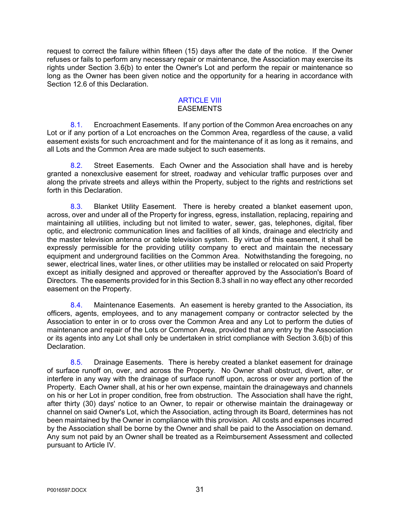request to correct the failure within fifteen (15) days after the date of the notice. If the Owner refuses or fails to perform any necessary repair or maintenance, the Association may exercise its rights under Section 3.6(b) to enter the Owner's Lot and perform the repair or maintenance so long as the Owner has been given notice and the opportunity for a hearing in accordance with Section 12.6 of this Declaration.

#### **ARTICLE VIII** EASEMENTS

8.1. Encroachment Easements. If any portion of the Common Area encroaches on any Lot or if any portion of a Lot encroaches on the Common Area, regardless of the cause, a valid easement exists for such encroachment and for the maintenance of it as long as it remains, and all Lots and the Common Area are made subject to such easements.

8.2. Street Easements. Each Owner and the Association shall have and is hereby granted a nonexclusive easement for street, roadway and vehicular traffic purposes over and along the private streets and alleys within the Property, subject to the rights and restrictions set forth in this Declaration.

8.3. Blanket Utility Easement. There is hereby created a blanket easement upon, across, over and under all of the Property for ingress, egress, installation, replacing, repairing and maintaining all utilities, including but not limited to water, sewer, gas, telephones, digital, fiber optic, and electronic communication lines and facilities of all kinds, drainage and electricity and the master television antenna or cable television system. By virtue of this easement, it shall be expressly permissible for the providing utility company to erect and maintain the necessary equipment and underground facilities on the Common Area. Notwithstanding the foregoing, no sewer, electrical lines, water lines, or other utilities may be installed or relocated on said Property except as initially designed and approved or thereafter approved by the Association's Board of Directors. The easements provided for in this Section 8.3 shall in no way effect any other recorded easement on the Property.

8.4. Maintenance Easements. An easement is hereby granted to the Association, its officers, agents, employees, and to any management company or contractor selected by the Association to enter in or to cross over the Common Area and any Lot to perform the duties of maintenance and repair of the Lots or Common Area, provided that any entry by the Association or its agents into any Lot shall only be undertaken in strict compliance with Section 3.6(b) of this Declaration.

8.5. Drainage Easements. There is hereby created a blanket easement for drainage of surface runoff on, over, and across the Property. No Owner shall obstruct, divert, alter, or interfere in any way with the drainage of surface runoff upon, across or over any portion of the Property. Each Owner shall, at his or her own expense, maintain the drainageways and channels on his or her Lot in proper condition, free from obstruction. The Association shall have the right, after thirty (30) days' notice to an Owner, to repair or otherwise maintain the drainageway or channel on said Owner's Lot, which the Association, acting through its Board, determines has not been maintained by the Owner in compliance with this provision. All costs and expenses incurred by the Association shall be borne by the Owner and shall be paid to the Association on demand. Any sum not paid by an Owner shall be treated as a Reimbursement Assessment and collected pursuant to Article IV.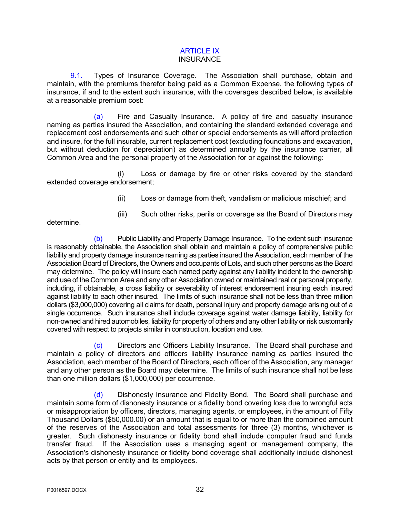#### ARTICLE IX **INSURANCE**

9.1. Types of Insurance Coverage. The Association shall purchase, obtain and maintain, with the premiums therefor being paid as a Common Expense, the following types of insurance, if and to the extent such insurance, with the coverages described below, is available at a reasonable premium cost:

(a) Fire and Casualty Insurance. A policy of fire and casualty insurance naming as parties insured the Association, and containing the standard extended coverage and replacement cost endorsements and such other or special endorsements as will afford protection and insure, for the full insurable, current replacement cost (excluding foundations and excavation, but without deduction for depreciation) as determined annually by the insurance carrier, all Common Area and the personal property of the Association for or against the following:

(i) Loss or damage by fire or other risks covered by the standard extended coverage endorsement;

- (ii) Loss or damage from theft, vandalism or malicious mischief; and
- (iii) Such other risks, perils or coverage as the Board of Directors may

determine.

(b) Public Liability and Property Damage Insurance. To the extent such insurance is reasonably obtainable, the Association shall obtain and maintain a policy of comprehensive public liability and property damage insurance naming as parties insured the Association, each member of the Association Board of Directors, the Owners and occupants of Lots, and such other persons as the Board may determine. The policy will insure each named party against any liability incident to the ownership and use of the Common Area and any other Association owned or maintained real or personal property, including, if obtainable, a cross liability or severability of interest endorsement insuring each insured against liability to each other insured. The limits of such insurance shall not be less than three million dollars (\$3,000,000) covering all claims for death, personal injury and property damage arising out of a single occurrence. Such insurance shall include coverage against water damage liability, liability for non-owned and hired automobiles, liability for property of others and any other liability or risk customarily covered with respect to projects similar in construction, location and use.

(c) Directors and Officers Liability Insurance. The Board shall purchase and maintain a policy of directors and officers liability insurance naming as parties insured the Association, each member of the Board of Directors, each officer of the Association, any manager and any other person as the Board may determine. The limits of such insurance shall not be less than one million dollars (\$1,000,000) per occurrence.

(d) Dishonesty Insurance and Fidelity Bond. The Board shall purchase and maintain some form of dishonesty insurance or a fidelity bond covering loss due to wrongful acts or misappropriation by officers, directors, managing agents, or employees, in the amount of Fifty Thousand Dollars (\$50,000.00) or an amount that is equal to or more than the combined amount of the reserves of the Association and total assessments for three (3) months, whichever is greater. Such dishonesty insurance or fidelity bond shall include computer fraud and funds transfer fraud. If the Association uses a managing agent or management company, the Association's dishonesty insurance or fidelity bond coverage shall additionally include dishonest acts by that person or entity and its employees.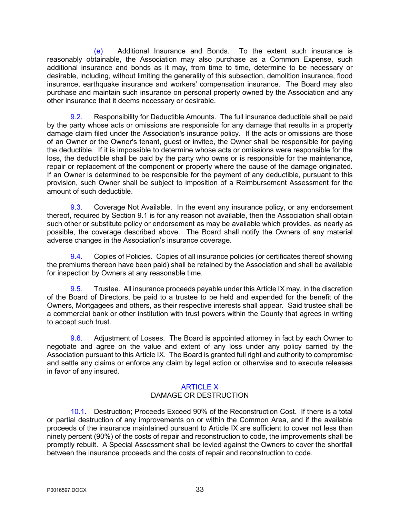(e) Additional Insurance and Bonds. To the extent such insurance is reasonably obtainable, the Association may also purchase as a Common Expense, such additional insurance and bonds as it may, from time to time, determine to be necessary or desirable, including, without limiting the generality of this subsection, demolition insurance, flood insurance, earthquake insurance and workers' compensation insurance. The Board may also purchase and maintain such insurance on personal property owned by the Association and any other insurance that it deems necessary or desirable.

9.2. Responsibility for Deductible Amounts. The full insurance deductible shall be paid by the party whose acts or omissions are responsible for any damage that results in a property damage claim filed under the Association's insurance policy. If the acts or omissions are those of an Owner or the Owner's tenant, guest or invitee, the Owner shall be responsible for paying the deductible. If it is impossible to determine whose acts or omissions were responsible for the loss, the deductible shall be paid by the party who owns or is responsible for the maintenance, repair or replacement of the component or property where the cause of the damage originated. If an Owner is determined to be responsible for the payment of any deductible, pursuant to this provision, such Owner shall be subject to imposition of a Reimbursement Assessment for the amount of such deductible.

9.3. Coverage Not Available. In the event any insurance policy, or any endorsement thereof, required by Section 9.1 is for any reason not available, then the Association shall obtain such other or substitute policy or endorsement as may be available which provides, as nearly as possible, the coverage described above. The Board shall notify the Owners of any material adverse changes in the Association's insurance coverage.

9.4. Copies of Policies. Copies of all insurance policies (or certificates thereof showing the premiums thereon have been paid) shall be retained by the Association and shall be available for inspection by Owners at any reasonable time.

9.5. Trustee. All insurance proceeds payable under this Article IX may, in the discretion of the Board of Directors, be paid to a trustee to be held and expended for the benefit of the Owners, Mortgagees and others, as their respective interests shall appear. Said trustee shall be a commercial bank or other institution with trust powers within the County that agrees in writing to accept such trust.

9.6. Adjustment of Losses. The Board is appointed attorney in fact by each Owner to negotiate and agree on the value and extent of any loss under any policy carried by the Association pursuant to this Article IX. The Board is granted full right and authority to compromise and settle any claims or enforce any claim by legal action or otherwise and to execute releases in favor of any insured.

## ARTICLE X DAMAGE OR DESTRUCTION

10.1. Destruction; Proceeds Exceed 90% of the Reconstruction Cost. If there is a total or partial destruction of any improvements on or within the Common Area, and if the available proceeds of the insurance maintained pursuant to Article IX are sufficient to cover not less than ninety percent (90%) of the costs of repair and reconstruction to code, the improvements shall be promptly rebuilt. A Special Assessment shall be levied against the Owners to cover the shortfall between the insurance proceeds and the costs of repair and reconstruction to code.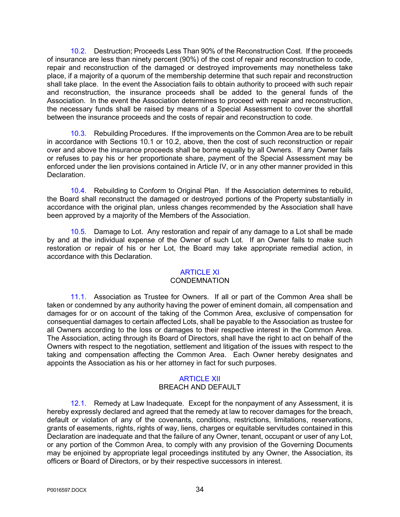10.2. Destruction; Proceeds Less Than 90% of the Reconstruction Cost. If the proceeds of insurance are less than ninety percent (90%) of the cost of repair and reconstruction to code, repair and reconstruction of the damaged or destroyed improvements may nonetheless take place, if a majority of a quorum of the membership determine that such repair and reconstruction shall take place. In the event the Association fails to obtain authority to proceed with such repair and reconstruction, the insurance proceeds shall be added to the general funds of the Association. In the event the Association determines to proceed with repair and reconstruction, the necessary funds shall be raised by means of a Special Assessment to cover the shortfall between the insurance proceeds and the costs of repair and reconstruction to code.

10.3. Rebuilding Procedures. If the improvements on the Common Area are to be rebuilt in accordance with Sections 10.1 or 10.2, above, then the cost of such reconstruction or repair over and above the insurance proceeds shall be borne equally by all Owners. If any Owner fails or refuses to pay his or her proportionate share, payment of the Special Assessment may be enforced under the lien provisions contained in Article IV, or in any other manner provided in this Declaration.

10.4. Rebuilding to Conform to Original Plan. If the Association determines to rebuild, the Board shall reconstruct the damaged or destroyed portions of the Property substantially in accordance with the original plan, unless changes recommended by the Association shall have been approved by a majority of the Members of the Association.

10.5. Damage to Lot. Any restoration and repair of any damage to a Lot shall be made by and at the individual expense of the Owner of such Lot. If an Owner fails to make such restoration or repair of his or her Lot, the Board may take appropriate remedial action, in accordance with this Declaration.

## ARTICLE XI

## **CONDEMNATION**

11.1. Association as Trustee for Owners. If all or part of the Common Area shall be taken or condemned by any authority having the power of eminent domain, all compensation and damages for or on account of the taking of the Common Area, exclusive of compensation for consequential damages to certain affected Lots, shall be payable to the Association as trustee for all Owners according to the loss or damages to their respective interest in the Common Area. The Association, acting through its Board of Directors, shall have the right to act on behalf of the Owners with respect to the negotiation, settlement and litigation of the issues with respect to the taking and compensation affecting the Common Area. Each Owner hereby designates and appoints the Association as his or her attorney in fact for such purposes.

## ARTICLE XII

## BREACH AND DEFAULT

12.1. Remedy at Law Inadequate. Except for the nonpayment of any Assessment, it is hereby expressly declared and agreed that the remedy at law to recover damages for the breach, default or violation of any of the covenants, conditions, restrictions, limitations, reservations, grants of easements, rights, rights of way, liens, charges or equitable servitudes contained in this Declaration are inadequate and that the failure of any Owner, tenant, occupant or user of any Lot, or any portion of the Common Area, to comply with any provision of the Governing Documents may be enjoined by appropriate legal proceedings instituted by any Owner, the Association, its officers or Board of Directors, or by their respective successors in interest.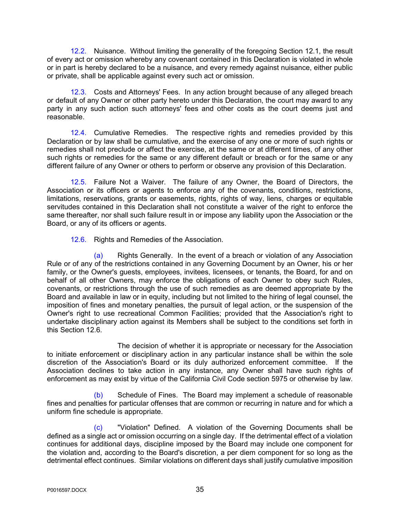12.2. Nuisance. Without limiting the generality of the foregoing Section 12.1, the result of every act or omission whereby any covenant contained in this Declaration is violated in whole or in part is hereby declared to be a nuisance, and every remedy against nuisance, either public or private, shall be applicable against every such act or omission.

12.3. Costs and Attorneys' Fees. In any action brought because of any alleged breach or default of any Owner or other party hereto under this Declaration, the court may award to any party in any such action such attorneys' fees and other costs as the court deems just and reasonable.

12.4. Cumulative Remedies. The respective rights and remedies provided by this Declaration or by law shall be cumulative, and the exercise of any one or more of such rights or remedies shall not preclude or affect the exercise, at the same or at different times, of any other such rights or remedies for the same or any different default or breach or for the same or any different failure of any Owner or others to perform or observe any provision of this Declaration.

12.5. Failure Not a Waiver. The failure of any Owner, the Board of Directors, the Association or its officers or agents to enforce any of the covenants, conditions, restrictions, limitations, reservations, grants or easements, rights, rights of way, liens, charges or equitable servitudes contained in this Declaration shall not constitute a waiver of the right to enforce the same thereafter, nor shall such failure result in or impose any liability upon the Association or the Board, or any of its officers or agents.

12.6. Rights and Remedies of the Association.

(a) Rights Generally. In the event of a breach or violation of any Association Rule or of any of the restrictions contained in any Governing Document by an Owner, his or her family, or the Owner's guests, employees, invitees, licensees, or tenants, the Board, for and on behalf of all other Owners, may enforce the obligations of each Owner to obey such Rules, covenants, or restrictions through the use of such remedies as are deemed appropriate by the Board and available in law or in equity, including but not limited to the hiring of legal counsel, the imposition of fines and monetary penalties, the pursuit of legal action, or the suspension of the Owner's right to use recreational Common Facilities; provided that the Association's right to undertake disciplinary action against its Members shall be subject to the conditions set forth in this Section 12.6.

The decision of whether it is appropriate or necessary for the Association to initiate enforcement or disciplinary action in any particular instance shall be within the sole discretion of the Association's Board or its duly authorized enforcement committee. If the Association declines to take action in any instance, any Owner shall have such rights of enforcement as may exist by virtue of the California Civil Code section 5975 or otherwise by law.

(b) Schedule of Fines. The Board may implement a schedule of reasonable fines and penalties for particular offenses that are common or recurring in nature and for which a uniform fine schedule is appropriate.

(c) "Violation" Defined. A violation of the Governing Documents shall be defined as a single act or omission occurring on a single day. If the detrimental effect of a violation continues for additional days, discipline imposed by the Board may include one component for the violation and, according to the Board's discretion, a per diem component for so long as the detrimental effect continues. Similar violations on different days shall justify cumulative imposition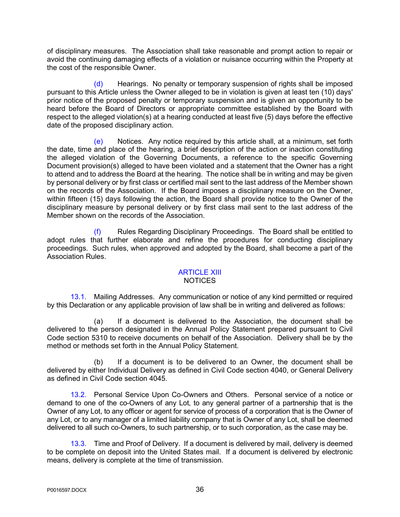of disciplinary measures. The Association shall take reasonable and prompt action to repair or avoid the continuing damaging effects of a violation or nuisance occurring within the Property at the cost of the responsible Owner.

(d) Hearings. No penalty or temporary suspension of rights shall be imposed pursuant to this Article unless the Owner alleged to be in violation is given at least ten (10) days' prior notice of the proposed penalty or temporary suspension and is given an opportunity to be heard before the Board of Directors or appropriate committee established by the Board with respect to the alleged violation(s) at a hearing conducted at least five (5) days before the effective date of the proposed disciplinary action.

(e) Notices. Any notice required by this article shall, at a minimum, set forth the date, time and place of the hearing, a brief description of the action or inaction constituting the alleged violation of the Governing Documents, a reference to the specific Governing Document provision(s) alleged to have been violated and a statement that the Owner has a right to attend and to address the Board at the hearing. The notice shall be in writing and may be given by personal delivery or by first class or certified mail sent to the last address of the Member shown on the records of the Association. If the Board imposes a disciplinary measure on the Owner, within fifteen (15) days following the action, the Board shall provide notice to the Owner of the disciplinary measure by personal delivery or by first class mail sent to the last address of the Member shown on the records of the Association.

Rules Regarding Disciplinary Proceedings. The Board shall be entitled to adopt rules that further elaborate and refine the procedures for conducting disciplinary proceedings. Such rules, when approved and adopted by the Board, shall become a part of the Association Rules.

#### ARTICLE XIII NOTICES

13.1. Mailing Addresses. Any communication or notice of any kind permitted or required by this Declaration or any applicable provision of law shall be in writing and delivered as follows:

(a) If a document is delivered to the Association, the document shall be delivered to the person designated in the Annual Policy Statement prepared pursuant to Civil Code section 5310 to receive documents on behalf of the Association. Delivery shall be by the method or methods set forth in the Annual Policy Statement.

(b) If a document is to be delivered to an Owner, the document shall be delivered by either Individual Delivery as defined in Civil Code section 4040, or General Delivery as defined in Civil Code section 4045.

13.2. Personal Service Upon Co-Owners and Others. Personal service of a notice or demand to one of the co-Owners of any Lot, to any general partner of a partnership that is the Owner of any Lot, to any officer or agent for service of process of a corporation that is the Owner of any Lot, or to any manager of a limited liability company that is Owner of any Lot, shall be deemed delivered to all such co-Owners, to such partnership, or to such corporation, as the case may be.

13.3. Time and Proof of Delivery. If a document is delivered by mail, delivery is deemed to be complete on deposit into the United States mail. If a document is delivered by electronic means, delivery is complete at the time of transmission.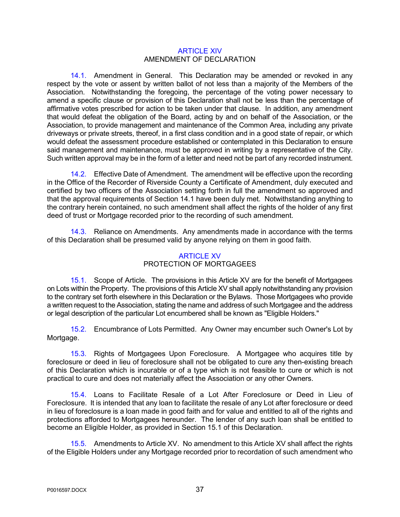#### ARTICLE XIV AMENDMENT OF DECLARATION

14.1. Amendment in General. This Declaration may be amended or revoked in any respect by the vote or assent by written ballot of not less than a majority of the Members of the Association. Notwithstanding the foregoing, the percentage of the voting power necessary to amend a specific clause or provision of this Declaration shall not be less than the percentage of affirmative votes prescribed for action to be taken under that clause. In addition, any amendment that would defeat the obligation of the Board, acting by and on behalf of the Association, or the Association, to provide management and maintenance of the Common Area, including any private driveways or private streets, thereof, in a first class condition and in a good state of repair, or which would defeat the assessment procedure established or contemplated in this Declaration to ensure said management and maintenance, must be approved in writing by a representative of the City. Such written approval may be in the form of a letter and need not be part of any recorded instrument.

14.2. Effective Date of Amendment. The amendment will be effective upon the recording in the Office of the Recorder of Riverside County a Certificate of Amendment, duly executed and certified by two officers of the Association setting forth in full the amendment so approved and that the approval requirements of Section 14.1 have been duly met. Notwithstanding anything to the contrary herein contained, no such amendment shall affect the rights of the holder of any first deed of trust or Mortgage recorded prior to the recording of such amendment.

14.3. Reliance on Amendments. Any amendments made in accordance with the terms of this Declaration shall be presumed valid by anyone relying on them in good faith.

## ARTICLE XV PROTECTION OF MORTGAGEES

15.1. Scope of Article. The provisions in this Article XV are for the benefit of Mortgagees on Lots within the Property. The provisions of this Article XV shall apply notwithstanding any provision to the contrary set forth elsewhere in this Declaration or the Bylaws. Those Mortgagees who provide a written request to the Association, stating the name and address of such Mortgagee and the address or legal description of the particular Lot encumbered shall be known as "Eligible Holders."

15.2. Encumbrance of Lots Permitted. Any Owner may encumber such Owner's Lot by Mortgage.

15.3. Rights of Mortgagees Upon Foreclosure. A Mortgagee who acquires title by foreclosure or deed in lieu of foreclosure shall not be obligated to cure any then-existing breach of this Declaration which is incurable or of a type which is not feasible to cure or which is not practical to cure and does not materially affect the Association or any other Owners.

15.4. Loans to Facilitate Resale of a Lot After Foreclosure or Deed in Lieu of Foreclosure. It is intended that any loan to facilitate the resale of any Lot after foreclosure or deed in lieu of foreclosure is a loan made in good faith and for value and entitled to all of the rights and protections afforded to Mortgagees hereunder. The lender of any such loan shall be entitled to become an Eligible Holder, as provided in Section 15.1 of this Declaration.

15.5. Amendments to Article XV. No amendment to this Article XV shall affect the rights of the Eligible Holders under any Mortgage recorded prior to recordation of such amendment who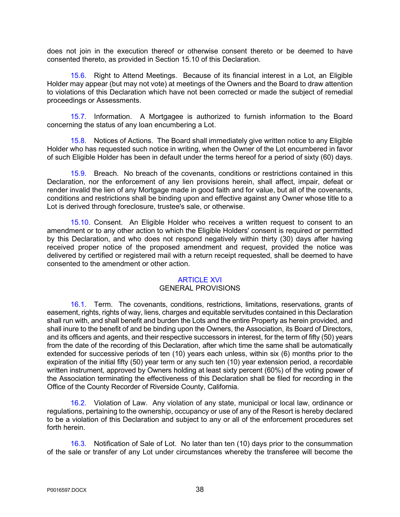does not join in the execution thereof or otherwise consent thereto or be deemed to have consented thereto, as provided in Section 15.10 of this Declaration.

15.6. Right to Attend Meetings. Because of its financial interest in a Lot, an Eligible Holder may appear (but may not vote) at meetings of the Owners and the Board to draw attention to violations of this Declaration which have not been corrected or made the subject of remedial proceedings or Assessments.

15.7. Information. A Mortgagee is authorized to furnish information to the Board concerning the status of any loan encumbering a Lot.

15.8. Notices of Actions. The Board shall immediately give written notice to any Eligible Holder who has requested such notice in writing, when the Owner of the Lot encumbered in favor of such Eligible Holder has been in default under the terms hereof for a period of sixty (60) days.

15.9. Breach. No breach of the covenants, conditions or restrictions contained in this Declaration, nor the enforcement of any lien provisions herein, shall affect, impair, defeat or render invalid the lien of any Mortgage made in good faith and for value, but all of the covenants, conditions and restrictions shall be binding upon and effective against any Owner whose title to a Lot is derived through foreclosure, trustee's sale, or otherwise.

15.10. Consent. An Eligible Holder who receives a written request to consent to an amendment or to any other action to which the Eligible Holders' consent is required or permitted by this Declaration, and who does not respond negatively within thirty (30) days after having received proper notice of the proposed amendment and request, provided the notice was delivered by certified or registered mail with a return receipt requested, shall be deemed to have consented to the amendment or other action.

## ARTICLE XVI

## GENERAL PROVISIONS

16.1. Term. The covenants, conditions, restrictions, limitations, reservations, grants of easement, rights, rights of way, liens, charges and equitable servitudes contained in this Declaration shall run with, and shall benefit and burden the Lots and the entire Property as herein provided, and shall inure to the benefit of and be binding upon the Owners, the Association, its Board of Directors, and its officers and agents, and their respective successors in interest, for the term of fifty (50) years from the date of the recording of this Declaration, after which time the same shall be automatically extended for successive periods of ten (10) years each unless, within six (6) months prior to the expiration of the initial fifty (50) year term or any such ten (10) year extension period, a recordable written instrument, approved by Owners holding at least sixty percent (60%) of the voting power of the Association terminating the effectiveness of this Declaration shall be filed for recording in the Office of the County Recorder of Riverside County, California.

16.2. Violation of Law. Any violation of any state, municipal or local law, ordinance or regulations, pertaining to the ownership, occupancy or use of any of the Resort is hereby declared to be a violation of this Declaration and subject to any or all of the enforcement procedures set forth herein.

16.3. Notification of Sale of Lot. No later than ten (10) days prior to the consummation of the sale or transfer of any Lot under circumstances whereby the transferee will become the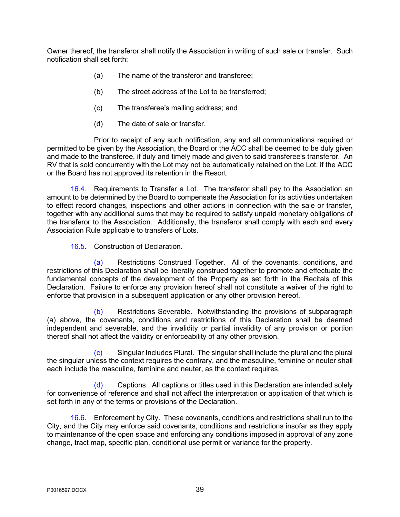Owner thereof, the transferor shall notify the Association in writing of such sale or transfer. Such notification shall set forth:

- (a) The name of the transferor and transferee;
- (b) The street address of the Lot to be transferred;
- (c) The transferee's mailing address; and
- (d) The date of sale or transfer.

Prior to receipt of any such notification, any and all communications required or permitted to be given by the Association, the Board or the ACC shall be deemed to be duly given and made to the transferee, if duly and timely made and given to said transferee's transferor. An RV that is sold concurrently with the Lot may not be automatically retained on the Lot, if the ACC or the Board has not approved its retention in the Resort.

16.4. Requirements to Transfer a Lot. The transferor shall pay to the Association an amount to be determined by the Board to compensate the Association for its activities undertaken to effect record changes, inspections and other actions in connection with the sale or transfer, together with any additional sums that may be required to satisfy unpaid monetary obligations of the transferor to the Association. Additionally, the transferor shall comply with each and every Association Rule applicable to transfers of Lots.

16.5. Construction of Declaration.

(a) Restrictions Construed Together. All of the covenants, conditions, and restrictions of this Declaration shall be liberally construed together to promote and effectuate the fundamental concepts of the development of the Property as set forth in the Recitals of this Declaration. Failure to enforce any provision hereof shall not constitute a waiver of the right to enforce that provision in a subsequent application or any other provision hereof.

(b) Restrictions Severable. Notwithstanding the provisions of subparagraph (a) above, the covenants, conditions and restrictions of this Declaration shall be deemed independent and severable, and the invalidity or partial invalidity of any provision or portion thereof shall not affect the validity or enforceability of any other provision.

(c) Singular Includes Plural. The singular shall include the plural and the plural the singular unless the context requires the contrary, and the masculine, feminine or neuter shall each include the masculine, feminine and neuter, as the context requires.

(d) Captions. All captions or titles used in this Declaration are intended solely for convenience of reference and shall not affect the interpretation or application of that which is set forth in any of the terms or provisions of the Declaration.

16.6. Enforcement by City. These covenants, conditions and restrictions shall run to the City, and the City may enforce said covenants, conditions and restrictions insofar as they apply to maintenance of the open space and enforcing any conditions imposed in approval of any zone change, tract map, specific plan, conditional use permit or variance for the property.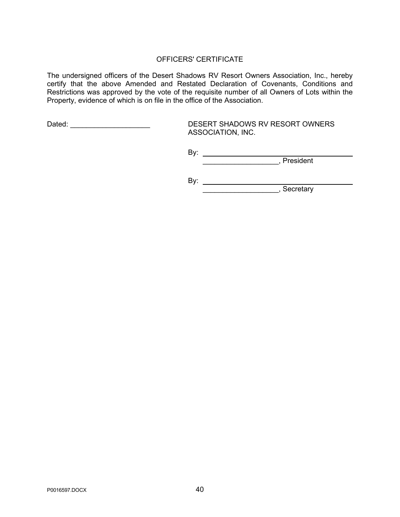## OFFICERS' CERTIFICATE

The undersigned officers of the Desert Shadows RV Resort Owners Association, Inc., hereby certify that the above Amended and Restated Declaration of Covenants, Conditions and Restrictions was approved by the vote of the requisite number of all Owners of Lots within the Property, evidence of which is on file in the office of the Association.

Dated: \_\_\_\_\_\_\_\_\_\_\_\_\_\_\_\_\_\_\_\_ DESERT SHADOWS RV RESORT OWNERS ASSOCIATION, INC.

> By: \_\_\_\_\_\_\_\_\_\_\_\_\_\_\_\_\_\_\_, President

By:

\_\_\_\_\_\_\_\_\_\_\_\_\_\_\_\_\_\_\_, Secretary